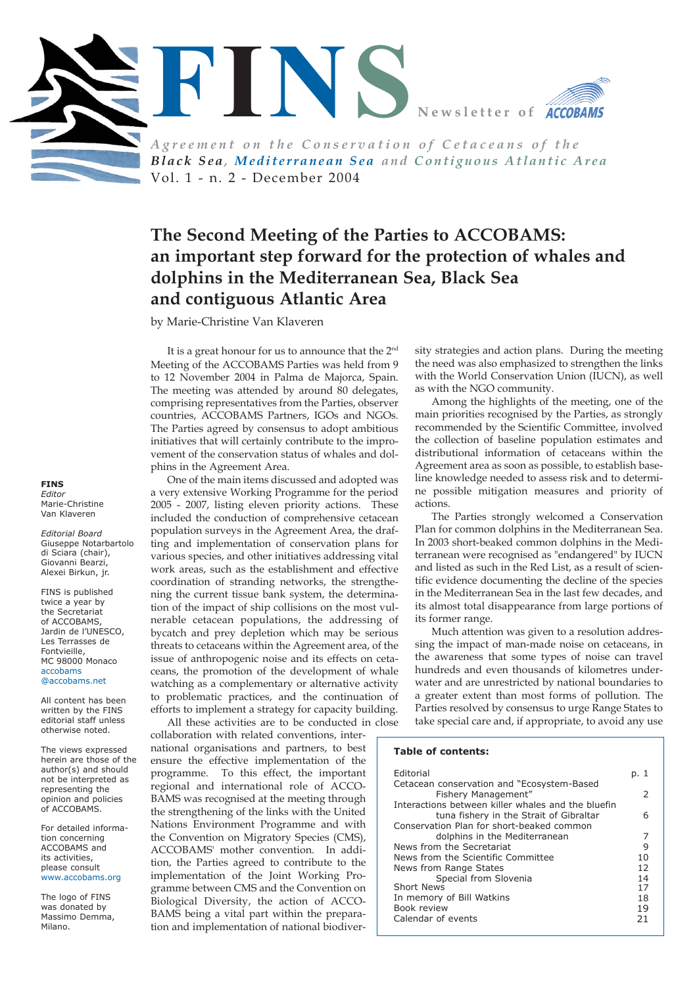

*Black Sea, Mediterranean Sea and Contiguous Atlantic Area* Vol. 1 - n. 2 - December 2004

# **The Second Meeting of the Parties to ACCOBAMS: an important step forward for the protection of whales and dolphins in the Mediterranean Sea, Black Sea and contiguous Atlantic Area**

by Marie-Christine Van Klaveren

It is a great honour for us to announce that the 2<sup>nd</sup> Meeting of the ACCOBAMS Parties was held from 9 to 12 November 2004 in Palma de Majorca, Spain. The meeting was attended by around 80 delegates, comprising representatives from the Parties, observer countries, ACCOBAMS Partners, IGOs and NGOs. The Parties agreed by consensus to adopt ambitious initiatives that will certainly contribute to the improvement of the conservation status of whales and dolphins in the Agreement Area.

One of the main items discussed and adopted was a very extensive Working Programme for the period 2005 - 2007, listing eleven priority actions. These included the conduction of comprehensive cetacean population surveys in the Agreement Area, the drafting and implementation of conservation plans for various species, and other initiatives addressing vital work areas, such as the establishment and effective coordination of stranding networks, the strengthening the current tissue bank system, the determination of the impact of ship collisions on the most vulnerable cetacean populations, the addressing of bycatch and prey depletion which may be serious threats to cetaceans within the Agreement area, of the issue of anthropogenic noise and its effects on cetaceans, the promotion of the development of whale watching as a complementary or alternative activity to problematic practices, and the continuation of efforts to implement a strategy for capacity building. All these activities are to be conducted in close

collaboration with related conventions, international organisations and partners, to best ensure the effective implementation of the programme. To this effect, the important regional and international role of ACCO-BAMS was recognised at the meeting through the strengthening of the links with the United Nations Environment Programme and with the Convention on Migratory Species (CMS), ACCOBAMS' mother convention. In addition, the Parties agreed to contribute to the implementation of the Joint Working Programme between CMS and the Convention on Biological Diversity, the action of ACCO-BAMS being a vital part within the preparation and implementation of national biodiversity strategies and action plans. During the meeting the need was also emphasized to strengthen the links with the World Conservation Union (IUCN), as well as with the NGO community.

Among the highlights of the meeting, one of the main priorities recognised by the Parties, as strongly recommended by the Scientific Committee, involved the collection of baseline population estimates and distributional information of cetaceans within the Agreement area as soon as possible, to establish baseline knowledge needed to assess risk and to determine possible mitigation measures and priority of actions.

The Parties strongly welcomed a Conservation Plan for common dolphins in the Mediterranean Sea. In 2003 short-beaked common dolphins in the Mediterranean were recognised as "endangered" by IUCN and listed as such in the Red List, as a result of scientific evidence documenting the decline of the species in the Mediterranean Sea in the last few decades, and its almost total disappearance from large portions of its former range.

Much attention was given to a resolution addressing the impact of man-made noise on cetaceans, in the awareness that some types of noise can travel hundreds and even thousands of kilometres underwater and are unrestricted by national boundaries to a greater extent than most forms of pollution. The Parties resolved by consensus to urge Range States to take special care and, if appropriate, to avoid any use

#### **Table of contents:**

| Editorial                                          | p. 1          |
|----------------------------------------------------|---------------|
| Cetacean conservation and "Ecosystem-Based         |               |
| Fishery Management"                                | $\mathcal{P}$ |
| Interactions between killer whales and the bluefin |               |
| tuna fishery in the Strait of Gibraltar            | 6             |
| Conservation Plan for short-beaked common          |               |
| dolphins in the Mediterranean                      | 7             |
| News from the Secretariat                          | 9             |
| News from the Scientific Committee                 | 10            |
| News from Range States                             | 12            |
| Special from Slovenia                              | 14            |
| Short News                                         | 17            |
| In memory of Bill Watkins                          | 18            |
| Book review                                        | 19            |
| Calendar of events                                 | 21            |

**FINS** *Editor* Marie-Christine Van Klaveren

*Editorial Board* Giuseppe Notarbartolo di Sciara (chair), Giovanni Bearzi, Alexei Birkun, jr.

FINS is published twice a year by the Secretariat of ACCOBAMS, Jardin de l'UNESCO, Les Terrasses de Fontvieille, MC 98000 Monaco accobams @accobams.net

All content has been written by the FINS editorial staff unless otherwise noted.

The views expressed herein are those of the author(s) and should not be interpreted as representing the opinion and policies of ACCOBAMS.

For detailed information concerning ACCOBAMS and its activities, please consult [www.accobams.org](http://www.accobams.org)

The logo of FINS was donated by Massimo Demma, Milano.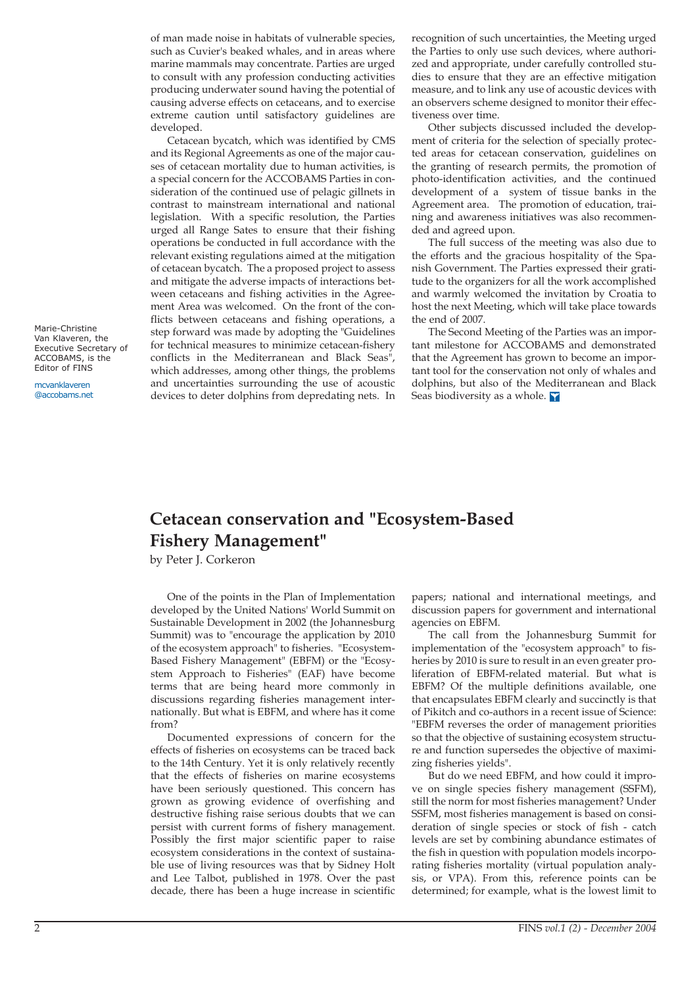of man made noise in habitats of vulnerable species, such as Cuvier's beaked whales, and in areas where marine mammals may concentrate. Parties are urged to consult with any profession conducting activities producing underwater sound having the potential of causing adverse effects on cetaceans, and to exercise extreme caution until satisfactory guidelines are developed.

Cetacean bycatch, which was identified by CMS and its Regional Agreements as one of the major causes of cetacean mortality due to human activities, is a special concern for the ACCOBAMS Parties in consideration of the continued use of pelagic gillnets in contrast to mainstream international and national legislation. With a specific resolution, the Parties urged all Range Sates to ensure that their fishing operations be conducted in full accordance with the relevant existing regulations aimed at the mitigation of cetacean bycatch. The a proposed project to assess and mitigate the adverse impacts of interactions between cetaceans and fishing activities in the Agreement Area was welcomed. On the front of the conflicts between cetaceans and fishing operations, a step forward was made by adopting the "Guidelines for technical measures to minimize cetacean-fishery conflicts in the Mediterranean and Black Seas", which addresses, among other things, the problems and uncertainties surrounding the use of acoustic devices to deter dolphins from depredating nets. In

recognition of such uncertainties, the Meeting urged the Parties to only use such devices, where authorized and appropriate, under carefully controlled studies to ensure that they are an effective mitigation measure, and to link any use of acoustic devices with an observers scheme designed to monitor their effectiveness over time.

Other subjects discussed included the development of criteria for the selection of specially protected areas for cetacean conservation, guidelines on the granting of research permits, the promotion of photo-identification activities, and the continued development of a system of tissue banks in the Agreement area. The promotion of education, training and awareness initiatives was also recommended and agreed upon.

The full success of the meeting was also due to the efforts and the gracious hospitality of the Spanish Government. The Parties expressed their gratitude to the organizers for all the work accomplished and warmly welcomed the invitation by Croatia to host the next Meeting, which will take place towards the end of 2007.

The Second Meeting of the Parties was an important milestone for ACCOBAMS and demonstrated that the Agreement has grown to become an important tool for the conservation not only of whales and dolphins, but also of the Mediterranean and Black Seas biodiversity as a whole.

## **Cetacean conservation and "Ecosystem-Based Fishery Management"**

by Peter J. Corkeron

One of the points in the Plan of Implementation developed by the United Nations' World Summit on Sustainable Development in 2002 (the Johannesburg Summit) was to "encourage the application by 2010 of the ecosystem approach" to fisheries. "Ecosystem-Based Fishery Management" (EBFM) or the "Ecosystem Approach to Fisheries" (EAF) have become terms that are being heard more commonly in discussions regarding fisheries management internationally. But what is EBFM, and where has it come from?

Documented expressions of concern for the effects of fisheries on ecosystems can be traced back to the 14th Century. Yet it is only relatively recently that the effects of fisheries on marine ecosystems have been seriously questioned. This concern has grown as growing evidence of overfishing and destructive fishing raise serious doubts that we can persist with current forms of fishery management. Possibly the first major scientific paper to raise ecosystem considerations in the context of sustainable use of living resources was that by Sidney Holt and Lee Talbot, published in 1978. Over the past decade, there has been a huge increase in scientific

papers; national and international meetings, and discussion papers for government and international agencies on EBFM.

The call from the Johannesburg Summit for implementation of the "ecosystem approach" to fisheries by 2010 is sure to result in an even greater proliferation of EBFM-related material. But what is EBFM? Of the multiple definitions available, one that encapsulates EBFM clearly and succinctly is that of Pikitch and co-authors in a recent issue of Science: "EBFM reverses the order of management priorities so that the objective of sustaining ecosystem structure and function supersedes the objective of maximizing fisheries yields".

But do we need EBFM, and how could it improve on single species fishery management (SSFM), still the norm for most fisheries management? Under SSFM, most fisheries management is based on consideration of single species or stock of fish - catch levels are set by combining abundance estimates of the fish in question with population models incorporating fisheries mortality (virtual population analysis, or VPA). From this, reference points can be determined; for example, what is the lowest limit to

Marie-Christine Van Klaveren, the Executive Secretary of ACCOBAMS, is the Editor of FINS

mcvanklaveren @accobams.net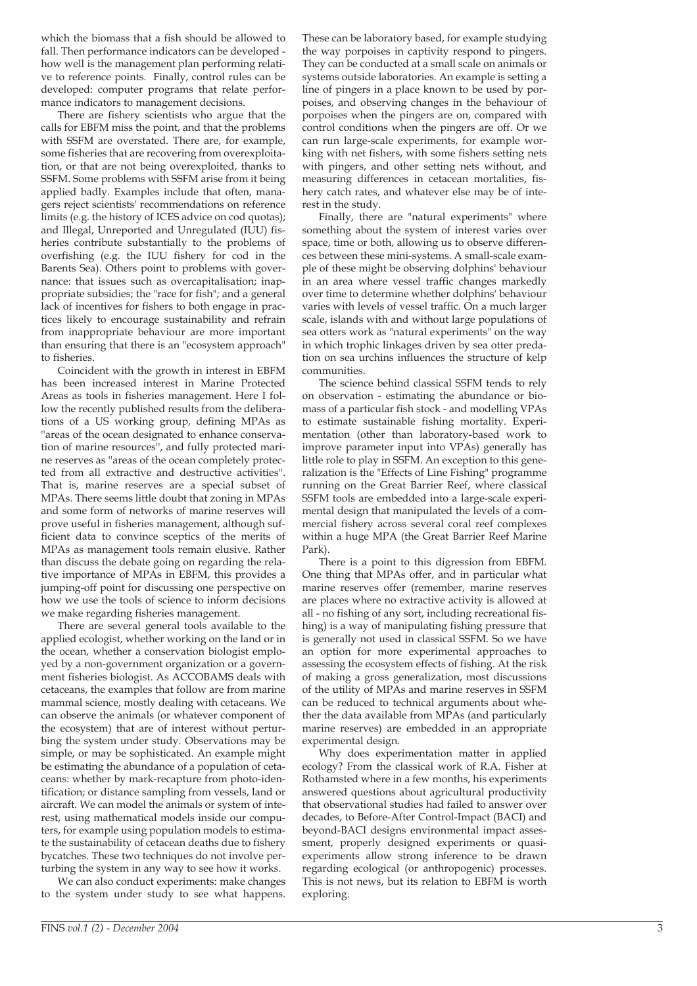which the biomass that a fish should be allowed to fall. Then performance indicators can be developed how well is the management plan performing relative to reference points. Finally, control rules can be developed: computer programs that relate performance indicators to management decisions.

There are fishery scientists who argue that the calls for EBFM miss the point, and that the problems with SSFM are overstated. There are, for example, some fisheries that are recovering from overexploitation, or that are not being overexploited, thanks to SSFM. Some problems with SSFM arise from it being applied badly. Examples include that often, managers reject scientists' recommendations on reference limits (e.g. the history of ICES advice on cod quotas); and Illegal, Unreported and Unregulated (IUU) fisheries contribute substantially to the problems of overfishing (e.g. the IUU fishery for cod in the Barents Sea). Others point to problems with governance: that issues such as overcapitalisation; inappropriate subsidies; the "race for fish"; and a general lack of incentives for fishers to both engage in practices likely to encourage sustainability and refrain from inappropriate behaviour are more important than ensuring that there is an "ecosystem approach" to fisheries.

Coincident with the growth in interest in EBFM has been increased interest in Marine Protected Areas as tools in fisheries management. Here I follow the recently published results from the deliberations of a US working group, defining MPAs as ''areas of the ocean designated to enhance conservation of marine resources'', and fully protected marine reserves as ''areas of the ocean completely protected from all extractive and destructive activities''. That is, marine reserves are a special subset of MPAs. There seems little doubt that zoning in MPAs and some form of networks of marine reserves will prove useful in fisheries management, although sufficient data to convince sceptics of the merits of MPAs as management tools remain elusive. Rather than discuss the debate going on regarding the relative importance of MPAs in EBFM, this provides a jumping-off point for discussing one perspective on how we use the tools of science to inform decisions we make regarding fisheries management.

There are several general tools available to the applied ecologist, whether working on the land or in the ocean, whether a conservation biologist employed by a non-government organization or a government fisheries biologist. As ACCOBAMS deals with cetaceans, the examples that follow are from marine mammal science, mostly dealing with cetaceans. We can observe the animals (or whatever component of the ecosystem) that are of interest without perturbing the system under study. Observations may be simple, or may be sophisticated. An example might be estimating the abundance of a population of cetaceans: whether by mark-recapture from photo-identification; or distance sampling from vessels, land or aircraft. We can model the animals or system of interest, using mathematical models inside our computers, for example using population models to estimate the sustainability of cetacean deaths due to fishery bycatches. These two techniques do not involve perturbing the system in any way to see how it works.

We can also conduct experiments: make changes to the system under study to see what happens.

These can be laboratory based, for example studying the way porpoises in captivity respond to pingers. They can be conducted at a small scale on animals or systems outside laboratories. An example is setting a line of pingers in a place known to be used by porpoises, and observing changes in the behaviour of porpoises when the pingers are on, compared with control conditions when the pingers are off. Or we can run large-scale experiments, for example working with net fishers, with some fishers setting nets with pingers, and other setting nets without, and measuring differences in cetacean mortalities, fishery catch rates, and whatever else may be of interest in the study.

Finally, there are "natural experiments" where something about the system of interest varies over space, time or both, allowing us to observe differences between these mini-systems. A small-scale example of these might be observing dolphins' behaviour in an area where vessel traffic changes markedly over time to determine whether dolphins' behaviour varies with levels of vessel traffic. On a much larger scale, islands with and without large populations of sea otters work as "natural experiments" on the way in which trophic linkages driven by sea otter predation on sea urchins influences the structure of kelp communities.

The science behind classical SSFM tends to rely on observation - estimating the abundance or biomass of a particular fish stock - and modelling VPAs to estimate sustainable fishing mortality. Experimentation (other than laboratory-based work to improve parameter input into VPAs) generally has little role to play in SSFM. An exception to this generalization is the "Effects of Line Fishing" programme running on the Great Barrier Reef, where classical SSFM tools are embedded into a large-scale experimental design that manipulated the levels of a commercial fishery across several coral reef complexes within a huge MPA (the Great Barrier Reef Marine Park).

There is a point to this digression from EBFM. One thing that MPAs offer, and in particular what marine reserves offer (remember, marine reserves are places where no extractive activity is allowed at all - no fishing of any sort, including recreational fishing) is a way of manipulating fishing pressure that is generally not used in classical SSFM. So we have an option for more experimental approaches to assessing the ecosystem effects of fishing. At the risk of making a gross generalization, most discussions of the utility of MPAs and marine reserves in SSFM can be reduced to technical arguments about whether the data available from MPAs (and particularly marine reserves) are embedded in an appropriate experimental design.

Why does experimentation matter in applied ecology? From the classical work of R.A. Fisher at Rothamsted where in a few months, his experiments answered questions about agricultural productivity that observational studies had failed to answer over decades, to Before-After Control-Impact (BACI) and beyond-BACI designs environmental impact assessment, properly designed experiments or quasiexperiments allow strong inference to be drawn regarding ecological (or anthropogenic) processes. This is not news, but its relation to EBFM is worth exploring.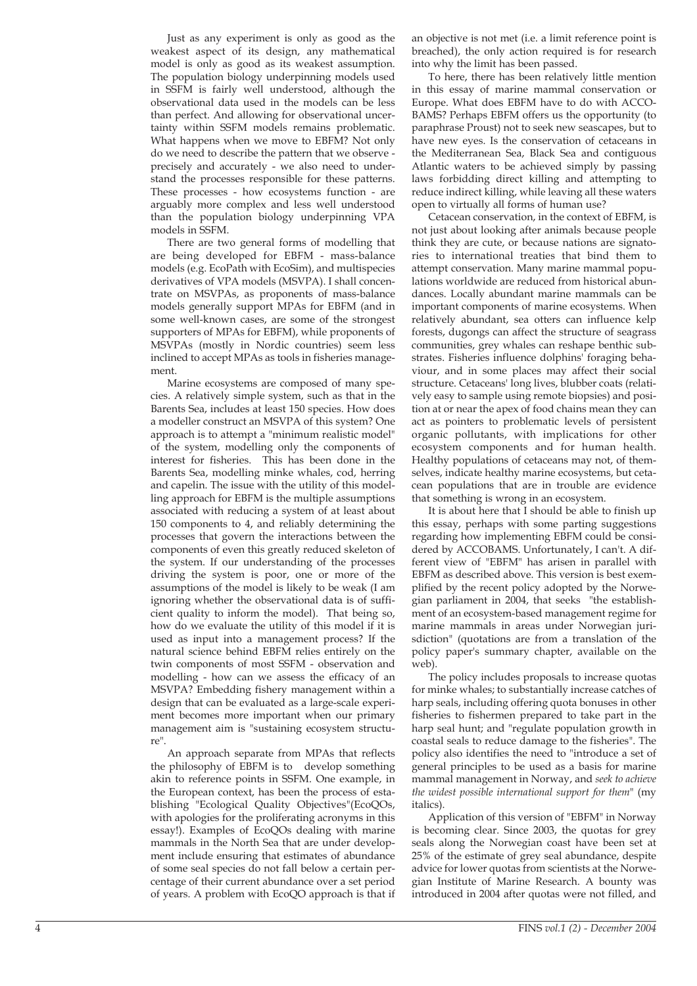Just as any experiment is only as good as the weakest aspect of its design, any mathematical model is only as good as its weakest assumption. The population biology underpinning models used in SSFM is fairly well understood, although the observational data used in the models can be less than perfect. And allowing for observational uncertainty within SSFM models remains problematic. What happens when we move to EBFM? Not only do we need to describe the pattern that we observe precisely and accurately - we also need to understand the processes responsible for these patterns. These processes - how ecosystems function - are arguably more complex and less well understood than the population biology underpinning VPA models in SSFM.

There are two general forms of modelling that are being developed for EBFM - mass-balance models (e.g. EcoPath with EcoSim), and multispecies derivatives of VPA models (MSVPA). I shall concentrate on MSVPAs, as proponents of mass-balance models generally support MPAs for EBFM (and in some well-known cases, are some of the strongest supporters of MPAs for EBFM), while proponents of MSVPAs (mostly in Nordic countries) seem less inclined to accept MPAs as tools in fisheries management.

Marine ecosystems are composed of many species. A relatively simple system, such as that in the Barents Sea, includes at least 150 species. How does a modeller construct an MSVPA of this system? One approach is to attempt a "minimum realistic model" of the system, modelling only the components of interest for fisheries. This has been done in the Barents Sea, modelling minke whales, cod, herring and capelin. The issue with the utility of this modelling approach for EBFM is the multiple assumptions associated with reducing a system of at least about 150 components to 4, and reliably determining the processes that govern the interactions between the components of even this greatly reduced skeleton of the system. If our understanding of the processes driving the system is poor, one or more of the assumptions of the model is likely to be weak (I am ignoring whether the observational data is of sufficient quality to inform the model). That being so, how do we evaluate the utility of this model if it is used as input into a management process? If the natural science behind EBFM relies entirely on the twin components of most SSFM - observation and modelling - how can we assess the efficacy of an MSVPA? Embedding fishery management within a design that can be evaluated as a large-scale experiment becomes more important when our primary management aim is "sustaining ecosystem structure".

An approach separate from MPAs that reflects the philosophy of EBFM is to develop something akin to reference points in SSFM. One example, in the European context, has been the process of establishing "Ecological Quality Objectives"(EcoQOs, with apologies for the proliferating acronyms in this essay!). Examples of EcoQOs dealing with marine mammals in the North Sea that are under development include ensuring that estimates of abundance of some seal species do not fall below a certain percentage of their current abundance over a set period of years. A problem with EcoQO approach is that if

an objective is not met (i.e. a limit reference point is breached), the only action required is for research into why the limit has been passed.

To here, there has been relatively little mention in this essay of marine mammal conservation or Europe. What does EBFM have to do with ACCO-BAMS? Perhaps EBFM offers us the opportunity (to paraphrase Proust) not to seek new seascapes, but to have new eyes. Is the conservation of cetaceans in the Mediterranean Sea, Black Sea and contiguous Atlantic waters to be achieved simply by passing laws forbidding direct killing and attempting to reduce indirect killing, while leaving all these waters open to virtually all forms of human use?

Cetacean conservation, in the context of EBFM, is not just about looking after animals because people think they are cute, or because nations are signatories to international treaties that bind them to attempt conservation. Many marine mammal populations worldwide are reduced from historical abundances. Locally abundant marine mammals can be important components of marine ecosystems. When relatively abundant, sea otters can influence kelp forests, dugongs can affect the structure of seagrass communities, grey whales can reshape benthic substrates. Fisheries influence dolphins' foraging behaviour, and in some places may affect their social structure. Cetaceans' long lives, blubber coats (relatively easy to sample using remote biopsies) and position at or near the apex of food chains mean they can act as pointers to problematic levels of persistent organic pollutants, with implications for other ecosystem components and for human health. Healthy populations of cetaceans may not, of themselves, indicate healthy marine ecosystems, but cetacean populations that are in trouble are evidence that something is wrong in an ecosystem.

It is about here that I should be able to finish up this essay, perhaps with some parting suggestions regarding how implementing EBFM could be considered by ACCOBAMS. Unfortunately, I can't. A different view of "EBFM" has arisen in parallel with EBFM as described above. This version is best exemplified by the recent policy adopted by the Norwegian parliament in 2004, that seeks "the establishment of an ecosystem-based management regime for marine mammals in areas under Norwegian jurisdiction" (quotations are from a translation of the policy paper's summary chapter, available on the web).

The policy includes proposals to increase quotas for minke whales; to substantially increase catches of harp seals, including offering quota bonuses in other fisheries to fishermen prepared to take part in the harp seal hunt; and "regulate population growth in coastal seals to reduce damage to the fisheries". The policy also identifies the need to "introduce a set of general principles to be used as a basis for marine mammal management in Norway, and *seek to achieve the widest possible international support for them*" (my italics).

Application of this version of "EBFM" in Norway is becoming clear. Since 2003, the quotas for grey seals along the Norwegian coast have been set at 25% of the estimate of grey seal abundance, despite advice for lower quotas from scientists at the Norwegian Institute of Marine Research. A bounty was introduced in 2004 after quotas were not filled, and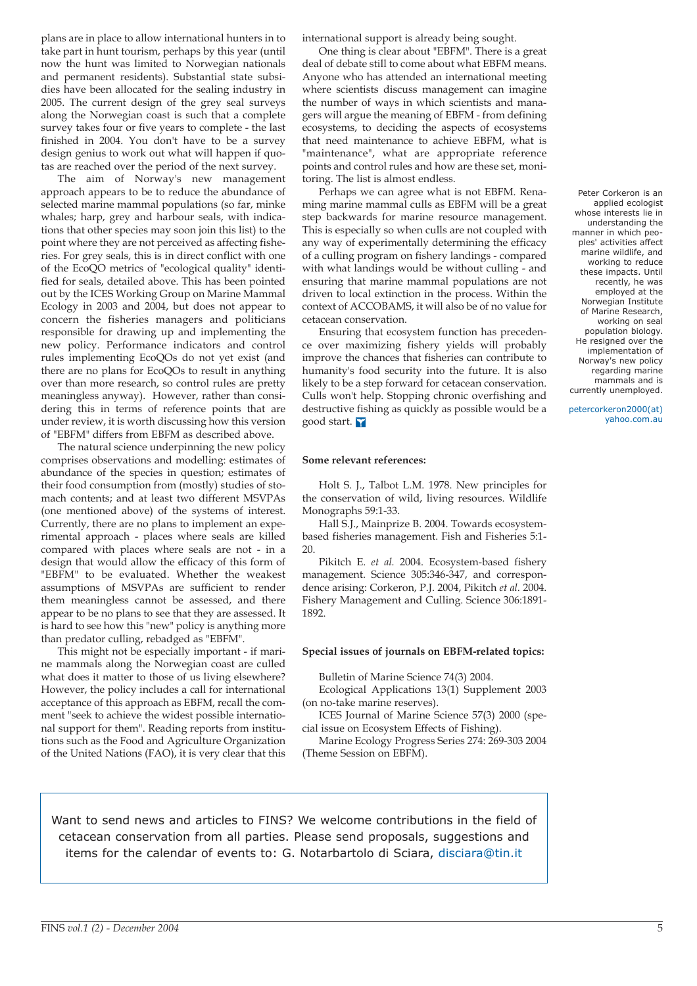plans are in place to allow international hunters in to take part in hunt tourism, perhaps by this year (until now the hunt was limited to Norwegian nationals and permanent residents). Substantial state subsidies have been allocated for the sealing industry in 2005. The current design of the grey seal surveys along the Norwegian coast is such that a complete survey takes four or five years to complete - the last finished in 2004. You don't have to be a survey design genius to work out what will happen if quotas are reached over the period of the next survey.

The aim of Norway's new management approach appears to be to reduce the abundance of selected marine mammal populations (so far, minke whales; harp, grey and harbour seals, with indications that other species may soon join this list) to the point where they are not perceived as affecting fisheries. For grey seals, this is in direct conflict with one of the EcoQO metrics of "ecological quality" identified for seals, detailed above. This has been pointed out by the ICES Working Group on Marine Mammal Ecology in 2003 and 2004, but does not appear to concern the fisheries managers and politicians responsible for drawing up and implementing the new policy. Performance indicators and control rules implementing EcoQOs do not yet exist (and there are no plans for EcoQOs to result in anything over than more research, so control rules are pretty meaningless anyway). However, rather than considering this in terms of reference points that are under review, it is worth discussing how this version of "EBFM" differs from EBFM as described above.

The natural science underpinning the new policy comprises observations and modelling: estimates of abundance of the species in question; estimates of their food consumption from (mostly) studies of stomach contents; and at least two different MSVPAs (one mentioned above) of the systems of interest. Currently, there are no plans to implement an experimental approach - places where seals are killed compared with places where seals are not - in a design that would allow the efficacy of this form of "EBFM" to be evaluated. Whether the weakest assumptions of MSVPAs are sufficient to render them meaningless cannot be assessed, and there appear to be no plans to see that they are assessed. It is hard to see how this "new" policy is anything more than predator culling, rebadged as "EBFM".

This might not be especially important - if marine mammals along the Norwegian coast are culled what does it matter to those of us living elsewhere? However, the policy includes a call for international acceptance of this approach as EBFM, recall the comment "seek to achieve the widest possible international support for them". Reading reports from institutions such as the Food and Agriculture Organization of the United Nations (FAO), it is very clear that this international support is already being sought.

One thing is clear about "EBFM". There is a great deal of debate still to come about what EBFM means. Anyone who has attended an international meeting where scientists discuss management can imagine the number of ways in which scientists and managers will argue the meaning of EBFM - from defining ecosystems, to deciding the aspects of ecosystems that need maintenance to achieve EBFM, what is "maintenance", what are appropriate reference points and control rules and how are these set, monitoring. The list is almost endless.

Perhaps we can agree what is not EBFM. Renaming marine mammal culls as EBFM will be a great step backwards for marine resource management. This is especially so when culls are not coupled with any way of experimentally determining the efficacy of a culling program on fishery landings - compared with what landings would be without culling - and ensuring that marine mammal populations are not driven to local extinction in the process. Within the context of ACCOBAMS, it will also be of no value for cetacean conservation.

Ensuring that ecosystem function has precedence over maximizing fishery yields will probably improve the chances that fisheries can contribute to humanity's food security into the future. It is also likely to be a step forward for cetacean conservation. Culls won't help. Stopping chronic overfishing and destructive fishing as quickly as possible would be a good start.

#### **Some relevant references:**

Holt S. J., Talbot L.M. 1978. New principles for the conservation of wild, living resources. Wildlife Monographs 59:1-33.

Hall S.J., Mainprize B. 2004. Towards ecosystembased fisheries management. Fish and Fisheries 5:1- 20.

Pikitch E. *et al.* 2004. Ecosystem-based fishery management. Science 305:346-347, and correspondence arising: Corkeron, P.J. 2004, Pikitch *et al.* 2004. Fishery Management and Culling. Science 306:1891- 1892.

#### **Special issues of journals on EBFM-related topics:**

Bulletin of Marine Science 74(3) 2004.

Ecological Applications 13(1) Supplement 2003 (on no-take marine reserves).

ICES Journal of Marine Science 57(3) 2000 (special issue on Ecosystem Effects of Fishing).

Marine Ecology Progress Series 274: 269-303 2004 (Theme Session on EBFM).

Want to send news and articles to FINS? We welcome contributions in the field of cetacean conservation from all parties. Please send proposals, suggestions and items for the calendar of events to: G. Notarbartolo di Sciara, disciara@tin.it

Peter Corkeron is an applied ecologist whose interests lie in understanding the manner in which peoples' activities affect marine wildlife, and working to reduce these impacts. Until recently, he was employed at the Norwegian Institute of Marine Research, working on seal population biology. He resigned over the implementation of Norway's new policy regarding marine mammals and is currently unemployed.

petercorkeron2000(at) yahoo.com.au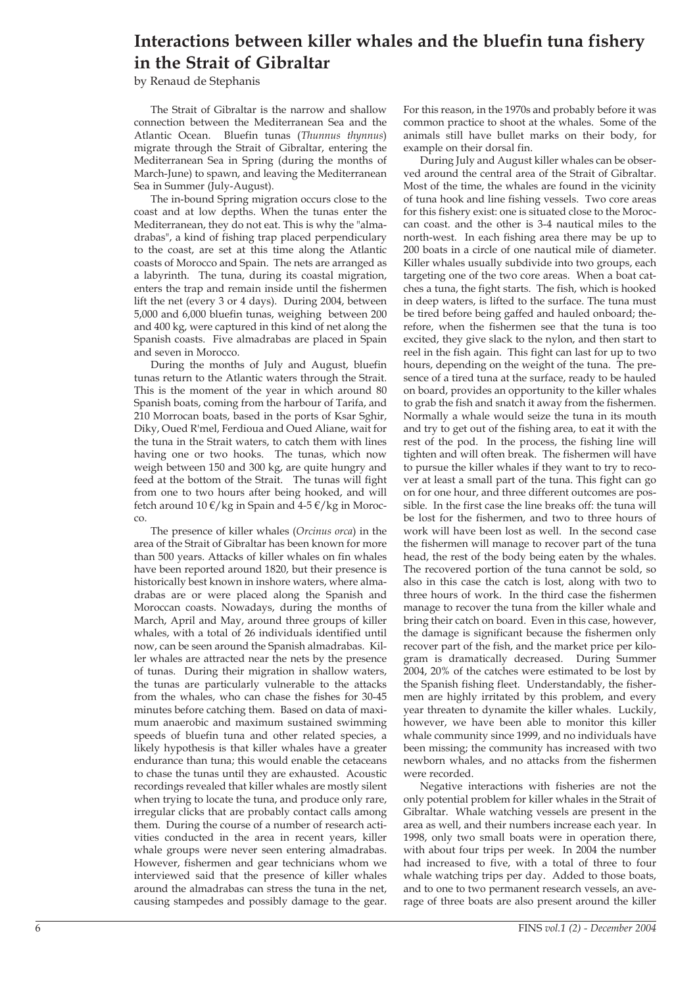# **Interactions between killer whales and the bluefin tuna fishery in the Strait of Gibraltar**

by Renaud de Stephanis

The Strait of Gibraltar is the narrow and shallow connection between the Mediterranean Sea and the Atlantic Ocean. Bluefin tunas (*Thunnus thynnus*) migrate through the Strait of Gibraltar, entering the Mediterranean Sea in Spring (during the months of March-June) to spawn, and leaving the Mediterranean Sea in Summer (July-August).

The in-bound Spring migration occurs close to the coast and at low depths. When the tunas enter the Mediterranean, they do not eat. This is why the "almadrabas", a kind of fishing trap placed perpendiculary to the coast, are set at this time along the Atlantic coasts of Morocco and Spain. The nets are arranged as a labyrinth. The tuna, during its coastal migration, enters the trap and remain inside until the fishermen lift the net (every 3 or 4 days). During 2004, between 5,000 and 6,000 bluefin tunas, weighing between 200 and 400 kg, were captured in this kind of net along the Spanish coasts. Five almadrabas are placed in Spain and seven in Morocco.

During the months of July and August, bluefin tunas return to the Atlantic waters through the Strait. This is the moment of the year in which around 80 Spanish boats, coming from the harbour of Tarifa, and 210 Morrocan boats, based in the ports of Ksar Sghir, Diky, Oued R'mel, Ferdioua and Oued Aliane, wait for the tuna in the Strait waters, to catch them with lines having one or two hooks. The tunas, which now weigh between 150 and 300 kg, are quite hungry and feed at the bottom of the Strait. The tunas will fight from one to two hours after being hooked, and will fetch around  $10 \frac{\epsilon}{kg}$  in Spain and  $4-5 \frac{\epsilon}{kg}$  in Morocco.

The presence of killer whales (*Orcinus orca*) in the area of the Strait of Gibraltar has been known for more than 500 years. Attacks of killer whales on fin whales have been reported around 1820, but their presence is historically best known in inshore waters, where almadrabas are or were placed along the Spanish and Moroccan coasts. Nowadays, during the months of March, April and May, around three groups of killer whales, with a total of 26 individuals identified until now, can be seen around the Spanish almadrabas. Killer whales are attracted near the nets by the presence of tunas. During their migration in shallow waters, the tunas are particularly vulnerable to the attacks from the whales, who can chase the fishes for 30-45 minutes before catching them. Based on data of maximum anaerobic and maximum sustained swimming speeds of bluefin tuna and other related species, a likely hypothesis is that killer whales have a greater endurance than tuna; this would enable the cetaceans to chase the tunas until they are exhausted. Acoustic recordings revealed that killer whales are mostly silent when trying to locate the tuna, and produce only rare, irregular clicks that are probably contact calls among them. During the course of a number of research activities conducted in the area in recent years, killer whale groups were never seen entering almadrabas. However, fishermen and gear technicians whom we interviewed said that the presence of killer whales around the almadrabas can stress the tuna in the net, causing stampedes and possibly damage to the gear. For this reason, in the 1970s and probably before it was common practice to shoot at the whales. Some of the animals still have bullet marks on their body, for example on their dorsal fin.

During July and August killer whales can be observed around the central area of the Strait of Gibraltar. Most of the time, the whales are found in the vicinity of tuna hook and line fishing vessels. Two core areas for this fishery exist: one is situated close to the Moroccan coast. and the other is 3-4 nautical miles to the north-west. In each fishing area there may be up to 200 boats in a circle of one nautical mile of diameter. Killer whales usually subdivide into two groups, each targeting one of the two core areas. When a boat catches a tuna, the fight starts. The fish, which is hooked in deep waters, is lifted to the surface. The tuna must be tired before being gaffed and hauled onboard; therefore, when the fishermen see that the tuna is too excited, they give slack to the nylon, and then start to reel in the fish again. This fight can last for up to two hours, depending on the weight of the tuna. The presence of a tired tuna at the surface, ready to be hauled on board, provides an opportunity to the killer whales to grab the fish and snatch it away from the fishermen. Normally a whale would seize the tuna in its mouth and try to get out of the fishing area, to eat it with the rest of the pod. In the process, the fishing line will tighten and will often break. The fishermen will have to pursue the killer whales if they want to try to recover at least a small part of the tuna. This fight can go on for one hour, and three different outcomes are possible. In the first case the line breaks off: the tuna will be lost for the fishermen, and two to three hours of work will have been lost as well. In the second case the fishermen will manage to recover part of the tuna head, the rest of the body being eaten by the whales. The recovered portion of the tuna cannot be sold, so also in this case the catch is lost, along with two to three hours of work. In the third case the fishermen manage to recover the tuna from the killer whale and bring their catch on board. Even in this case, however, the damage is significant because the fishermen only recover part of the fish, and the market price per kilogram is dramatically decreased. During Summer 2004, 20% of the catches were estimated to be lost by the Spanish fishing fleet. Understandably, the fishermen are highly irritated by this problem, and every year threaten to dynamite the killer whales. Luckily, however, we have been able to monitor this killer whale community since 1999, and no individuals have been missing; the community has increased with two newborn whales, and no attacks from the fishermen were recorded.

Negative interactions with fisheries are not the only potential problem for killer whales in the Strait of Gibraltar. Whale watching vessels are present in the area as well, and their numbers increase each year. In 1998, only two small boats were in operation there, with about four trips per week. In 2004 the number had increased to five, with a total of three to four whale watching trips per day. Added to those boats, and to one to two permanent research vessels, an average of three boats are also present around the killer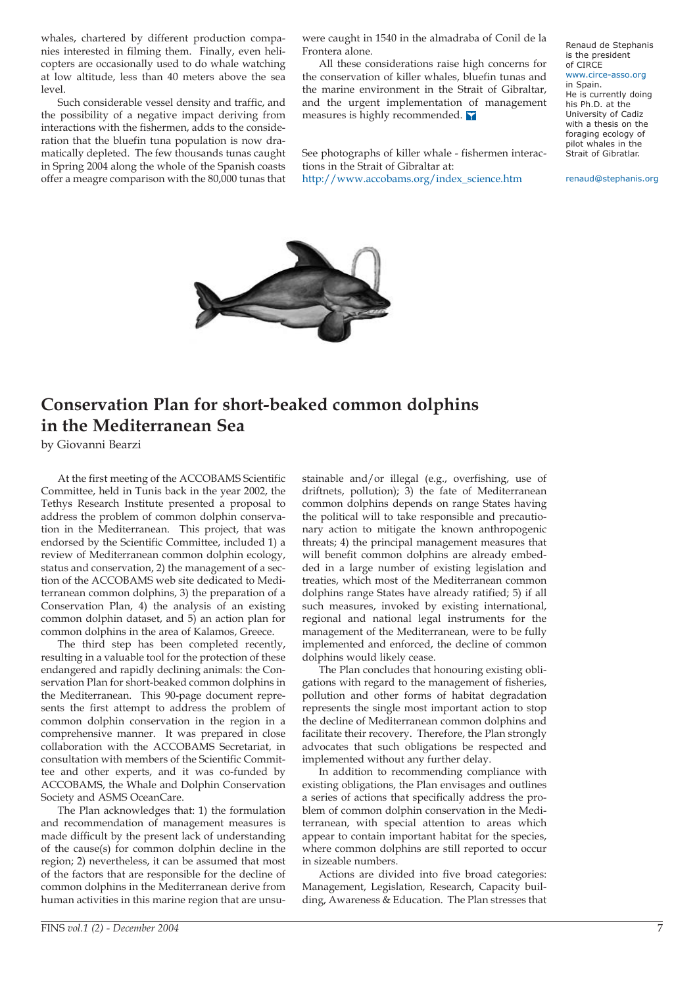whales, chartered by different production companies interested in filming them. Finally, even helicopters are occasionally used to do whale watching at low altitude, less than 40 meters above the sea level.

Such considerable vessel density and traffic, and the possibility of a negative impact deriving from interactions with the fishermen, adds to the consideration that the bluefin tuna population is now dramatically depleted. The few thousands tunas caught in Spring 2004 along the whole of the Spanish coasts offer a meagre comparison with the 80,000 tunas that were caught in 1540 in the almadraba of Conil de la Frontera alone.

All these considerations raise high concerns for the conservation of killer whales, bluefin tunas and the marine environment in the Strait of Gibraltar, and the urgent implementation of management measures is highly recommended.

See photographs of killer whale - fishermen interactions in the Strait of Gibraltar at: [http://www.accobams.org/index\\_science.htm](http://www.accobams.org/index_science.htm)

Renaud de Stephanis is the president of CIRCE [www.circe-asso.org](http://www.circe-asso.org) in Spain. He is currently doing his Ph.D. at the University of Cadiz with a thesis on the foraging ecology of

renaud@stephanis.org

pilot whales in the Strait of Gibratlar.



# **Conservation Plan for short-beaked common dolphins in the Mediterranean Sea**

by Giovanni Bearzi

At the first meeting of the ACCOBAMS Scientific Committee, held in Tunis back in the year 2002, the Tethys Research Institute presented a proposal to address the problem of common dolphin conservation in the Mediterranean. This project, that was endorsed by the Scientific Committee, included 1) a review of Mediterranean common dolphin ecology, status and conservation, 2) the management of a section of the ACCOBAMS web site dedicated to Mediterranean common dolphins, 3) the preparation of a Conservation Plan, 4) the analysis of an existing common dolphin dataset, and 5) an action plan for common dolphins in the area of Kalamos, Greece.

The third step has been completed recently, resulting in a valuable tool for the protection of these endangered and rapidly declining animals: the Conservation Plan for short-beaked common dolphins in the Mediterranean. This 90-page document represents the first attempt to address the problem of common dolphin conservation in the region in a comprehensive manner. It was prepared in close collaboration with the ACCOBAMS Secretariat, in consultation with members of the Scientific Committee and other experts, and it was co-funded by ACCOBAMS, the Whale and Dolphin Conservation Society and ASMS OceanCare.

The Plan acknowledges that: 1) the formulation and recommendation of management measures is made difficult by the present lack of understanding of the cause(s) for common dolphin decline in the region; 2) nevertheless, it can be assumed that most of the factors that are responsible for the decline of common dolphins in the Mediterranean derive from human activities in this marine region that are unsustainable and/or illegal (e.g., overfishing, use of driftnets, pollution); 3) the fate of Mediterranean common dolphins depends on range States having the political will to take responsible and precautionary action to mitigate the known anthropogenic threats; 4) the principal management measures that will benefit common dolphins are already embedded in a large number of existing legislation and treaties, which most of the Mediterranean common dolphins range States have already ratified; 5) if all such measures, invoked by existing international, regional and national legal instruments for the management of the Mediterranean, were to be fully implemented and enforced, the decline of common dolphins would likely cease.

The Plan concludes that honouring existing obligations with regard to the management of fisheries, pollution and other forms of habitat degradation represents the single most important action to stop the decline of Mediterranean common dolphins and facilitate their recovery. Therefore, the Plan strongly advocates that such obligations be respected and implemented without any further delay.

In addition to recommending compliance with existing obligations, the Plan envisages and outlines a series of actions that specifically address the problem of common dolphin conservation in the Mediterranean, with special attention to areas which appear to contain important habitat for the species, where common dolphins are still reported to occur in sizeable numbers.

Actions are divided into five broad categories: Management, Legislation, Research, Capacity building, Awareness & Education. The Plan stresses that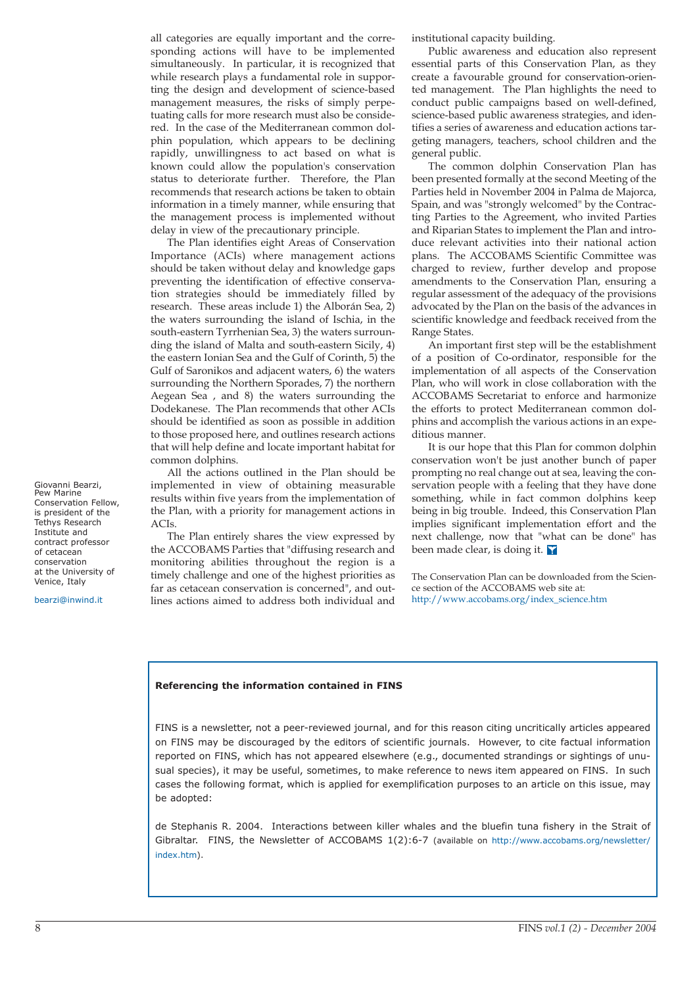all categories are equally important and the corresponding actions will have to be implemented simultaneously. In particular, it is recognized that while research plays a fundamental role in supporting the design and development of science-based management measures, the risks of simply perpetuating calls for more research must also be considered. In the case of the Mediterranean common dolphin population, which appears to be declining rapidly, unwillingness to act based on what is known could allow the population's conservation status to deteriorate further. Therefore, the Plan recommends that research actions be taken to obtain information in a timely manner, while ensuring that the management process is implemented without delay in view of the precautionary principle.

The Plan identifies eight Areas of Conservation Importance (ACIs) where management actions should be taken without delay and knowledge gaps preventing the identification of effective conservation strategies should be immediately filled by research. These areas include 1) the Alborán Sea, 2) the waters surrounding the island of Ischia, in the south-eastern Tyrrhenian Sea, 3) the waters surrounding the island of Malta and south-eastern Sicily, 4) the eastern Ionian Sea and the Gulf of Corinth, 5) the Gulf of Saronikos and adjacent waters, 6) the waters surrounding the Northern Sporades, 7) the northern Aegean Sea , and 8) the waters surrounding the Dodekanese. The Plan recommends that other ACIs should be identified as soon as possible in addition to those proposed here, and outlines research actions that will help define and locate important habitat for common dolphins.

All the actions outlined in the Plan should be implemented in view of obtaining measurable results within five years from the implementation of the Plan, with a priority for management actions in ACIs.

The Plan entirely shares the view expressed by the ACCOBAMS Parties that "diffusing research and monitoring abilities throughout the region is a timely challenge and one of the highest priorities as far as cetacean conservation is concerned", and outlines actions aimed to address both individual and

institutional capacity building.

Public awareness and education also represent essential parts of this Conservation Plan, as they create a favourable ground for conservation-oriented management. The Plan highlights the need to conduct public campaigns based on well-defined, science-based public awareness strategies, and identifies a series of awareness and education actions targeting managers, teachers, school children and the general public.

The common dolphin Conservation Plan has been presented formally at the second Meeting of the Parties held in November 2004 in Palma de Majorca, Spain, and was "strongly welcomed" by the Contracting Parties to the Agreement, who invited Parties and Riparian States to implement the Plan and introduce relevant activities into their national action plans. The ACCOBAMS Scientific Committee was charged to review, further develop and propose amendments to the Conservation Plan, ensuring a regular assessment of the adequacy of the provisions advocated by the Plan on the basis of the advances in scientific knowledge and feedback received from the Range States.

An important first step will be the establishment of a position of Co-ordinator, responsible for the implementation of all aspects of the Conservation Plan, who will work in close collaboration with the ACCOBAMS Secretariat to enforce and harmonize the efforts to protect Mediterranean common dolphins and accomplish the various actions in an expeditious manner.

It is our hope that this Plan for common dolphin conservation won't be just another bunch of paper prompting no real change out at sea, leaving the conservation people with a feeling that they have done something, while in fact common dolphins keep being in big trouble. Indeed, this Conservation Plan implies significant implementation effort and the next challenge, now that "what can be done" has been made clear, is doing it.

The Conservation Plan can be downloaded from the Science section of the ACCOBAMS web site at: [http://www.accobams.org/index\\_science.htm](http://www.accobams.org/index_science.htm)

#### **Referencing the information contained in FINS**

FINS is a newsletter, not a peer-reviewed journal, and for this reason citing uncritically articles appeared on FINS may be discouraged by the editors of scientific journals. However, to cite factual information reported on FINS, which has not appeared elsewhere (e.g., documented strandings or sightings of unusual species), it may be useful, sometimes, to make reference to news item appeared on FINS. In such cases the following format, which is applied for exemplification purposes to an article on this issue, may be adopted:

de Stephanis R. 2004. Interactions between killer whales and the bluefin tuna fishery in the Strait of Gibraltar. FINS, the Newsletter of ACCOBAMS 1(2):6-7 (available on [http://www.accobams.org/newsletter/](http://www.accobams.org/newsletter/index.htm) index.htm).

Giovanni Bearzi, Pew Marine Conservation Fellow, is president of the Tethys Research Institute and contract professor of cetacean conservation at the University of Venice, Italy

bearzi@inwind.it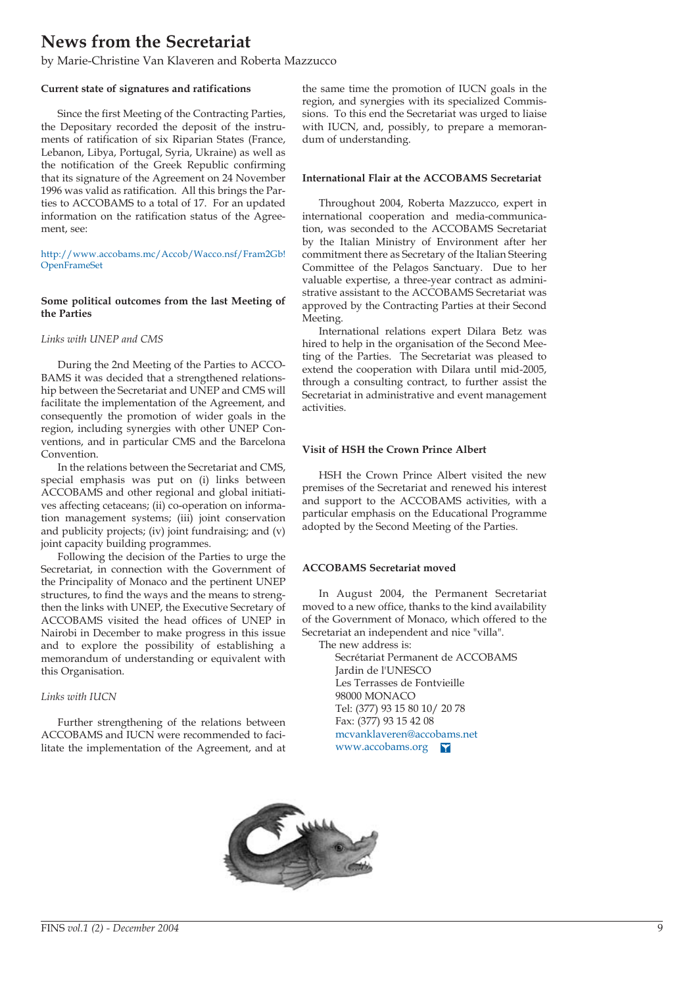# **News from the Secretariat**

by Marie-Christine Van Klaveren and Roberta Mazzucco

### **Current state of signatures and ratifications**

Since the first Meeting of the Contracting Parties, the Depositary recorded the deposit of the instruments of ratification of six Riparian States (France, Lebanon, Libya, Portugal, Syria, Ukraine) as well as the notification of the Greek Republic confirming that its signature of the Agreement on 24 November 1996 was valid as ratification. All this brings the Parties to ACCOBAMS to a total of 17. For an updated information on the ratification status of the Agreement, see:

[http://www.accobams.mc/Accob/Wacco.nsf/Fram2Gb!](http://www.accobams.mc/Accob/Wacco.nsf/Fram2Gb!OpenFrameSet) OpenFrameSet

### **Some political outcomes from the last Meeting of the Parties**

### *Links with UNEP and CMS*

During the 2nd Meeting of the Parties to ACCO-BAMS it was decided that a strengthened relationship between the Secretariat and UNEP and CMS will facilitate the implementation of the Agreement, and consequently the promotion of wider goals in the region, including synergies with other UNEP Conventions, and in particular CMS and the Barcelona Convention.

In the relations between the Secretariat and CMS, special emphasis was put on (i) links between ACCOBAMS and other regional and global initiatives affecting cetaceans; (ii) co-operation on information management systems; (iii) joint conservation and publicity projects; (iv) joint fundraising; and (v) joint capacity building programmes.

Following the decision of the Parties to urge the Secretariat, in connection with the Government of the Principality of Monaco and the pertinent UNEP structures, to find the ways and the means to strengthen the links with UNEP, the Executive Secretary of ACCOBAMS visited the head offices of UNEP in Nairobi in December to make progress in this issue and to explore the possibility of establishing a memorandum of understanding or equivalent with this Organisation.

### *Links with IUCN*

Further strengthening of the relations between ACCOBAMS and IUCN were recommended to facilitate the implementation of the Agreement, and at the same time the promotion of IUCN goals in the region, and synergies with its specialized Commissions. To this end the Secretariat was urged to liaise with IUCN, and, possibly, to prepare a memorandum of understanding.

#### **International Flair at the ACCOBAMS Secretariat**

Throughout 2004, Roberta Mazzucco, expert in international cooperation and media-communication, was seconded to the ACCOBAMS Secretariat by the Italian Ministry of Environment after her commitment there as Secretary of the Italian Steering Committee of the Pelagos Sanctuary. Due to her valuable expertise, a three-year contract as administrative assistant to the ACCOBAMS Secretariat was approved by the Contracting Parties at their Second Meeting.

International relations expert Dilara Betz was hired to help in the organisation of the Second Meeting of the Parties. The Secretariat was pleased to extend the cooperation with Dilara until mid-2005, through a consulting contract, to further assist the Secretariat in administrative and event management activities.

#### **Visit of HSH the Crown Prince Albert**

HSH the Crown Prince Albert visited the new premises of the Secretariat and renewed his interest and support to the ACCOBAMS activities, with a particular emphasis on the Educational Programme adopted by the Second Meeting of the Parties.

#### **ACCOBAMS Secretariat moved**

In August 2004, the Permanent Secretariat moved to a new office, thanks to the kind availability of the Government of Monaco, which offered to the Secretariat an independent and nice "villa".

The new address is:

Secrétariat Permanent de ACCOBAMS Jardin de l'UNESCO Les Terrasses de Fontvieille 98000 MONACO Tel: (377) 93 15 80 10/ 20 78 Fax: (377) 93 15 42 08 mcvanklaveren@accobams.net [www.accobams.org](http://www.accobams.org) 

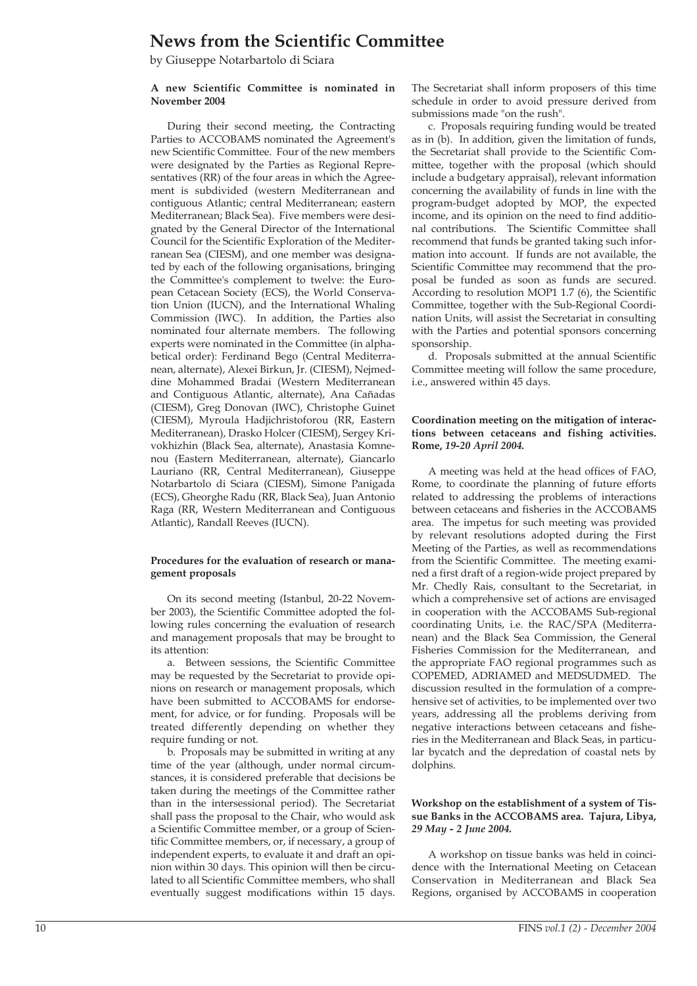### **News from the Scientific Committee**

by Giuseppe Notarbartolo di Sciara

#### **A new Scientific Committee is nominated in November 2004**

During their second meeting, the Contracting Parties to ACCOBAMS nominated the Agreement's new Scientific Committee. Four of the new members were designated by the Parties as Regional Representatives (RR) of the four areas in which the Agreement is subdivided (western Mediterranean and contiguous Atlantic; central Mediterranean; eastern Mediterranean; Black Sea). Five members were designated by the General Director of the International Council for the Scientific Exploration of the Mediterranean Sea (CIESM), and one member was designated by each of the following organisations, bringing the Committee's complement to twelve: the European Cetacean Society (ECS), the World Conservation Union (IUCN), and the International Whaling Commission (IWC). In addition, the Parties also nominated four alternate members. The following experts were nominated in the Committee (in alphabetical order): Ferdinand Bego (Central Mediterranean, alternate), Alexei Birkun, Jr. (CIESM), Nejmeddine Mohammed Bradai (Western Mediterranean and Contiguous Atlantic, alternate), Ana Cañadas (CIESM), Greg Donovan (IWC), Christophe Guinet (CIESM), Myroula Hadjichristoforou (RR, Eastern Mediterranean), Drasko Holcer (CIESM), Sergey Krivokhizhin (Black Sea, alternate), Anastasia Komnenou (Eastern Mediterranean, alternate), Giancarlo Lauriano (RR, Central Mediterranean), Giuseppe Notarbartolo di Sciara (CIESM), Simone Panigada (ECS), Gheorghe Radu (RR, Black Sea), Juan Antonio Raga (RR, Western Mediterranean and Contiguous Atlantic), Randall Reeves (IUCN).

#### **Procedures for the evaluation of research or management proposals**

On its second meeting (Istanbul, 20-22 November 2003), the Scientific Committee adopted the following rules concerning the evaluation of research and management proposals that may be brought to its attention:

a. Between sessions, the Scientific Committee may be requested by the Secretariat to provide opinions on research or management proposals, which have been submitted to ACCOBAMS for endorsement, for advice, or for funding. Proposals will be treated differently depending on whether they require funding or not.

b. Proposals may be submitted in writing at any time of the year (although, under normal circumstances, it is considered preferable that decisions be taken during the meetings of the Committee rather than in the intersessional period). The Secretariat shall pass the proposal to the Chair, who would ask a Scientific Committee member, or a group of Scientific Committee members, or, if necessary, a group of independent experts, to evaluate it and draft an opinion within 30 days. This opinion will then be circulated to all Scientific Committee members, who shall eventually suggest modifications within 15 days.

The Secretariat shall inform proposers of this time schedule in order to avoid pressure derived from submissions made "on the rush".

c. Proposals requiring funding would be treated as in (b). In addition, given the limitation of funds, the Secretariat shall provide to the Scientific Committee, together with the proposal (which should include a budgetary appraisal), relevant information concerning the availability of funds in line with the program-budget adopted by MOP, the expected income, and its opinion on the need to find additional contributions. The Scientific Committee shall recommend that funds be granted taking such information into account. If funds are not available, the Scientific Committee may recommend that the proposal be funded as soon as funds are secured. According to resolution MOP1 1.7 (6), the Scientific Committee, together with the Sub-Regional Coordination Units, will assist the Secretariat in consulting with the Parties and potential sponsors concerning sponsorship.

d. Proposals submitted at the annual Scientific Committee meeting will follow the same procedure, i.e., answered within 45 days.

### **Coordination meeting on the mitigation of interactions between cetaceans and fishing activities. Rome,** *19-20 April 2004.*

A meeting was held at the head offices of FAO, Rome, to coordinate the planning of future efforts related to addressing the problems of interactions between cetaceans and fisheries in the ACCOBAMS area. The impetus for such meeting was provided by relevant resolutions adopted during the First Meeting of the Parties, as well as recommendations from the Scientific Committee. The meeting examined a first draft of a region-wide project prepared by Mr. Chedly Rais, consultant to the Secretariat, in which a comprehensive set of actions are envisaged in cooperation with the ACCOBAMS Sub-regional coordinating Units, i.e. the RAC/SPA (Mediterranean) and the Black Sea Commission, the General Fisheries Commission for the Mediterranean, and the appropriate FAO regional programmes such as COPEMED, ADRIAMED and MEDSUDMED. The discussion resulted in the formulation of a comprehensive set of activities, to be implemented over two years, addressing all the problems deriving from negative interactions between cetaceans and fisheries in the Mediterranean and Black Seas, in particular bycatch and the depredation of coastal nets by dolphins.

### **Workshop on the establishment of a system of Tissue Banks in the ACCOBAMS area. Tajura, Libya,** *29 May - 2 June 2004.*

A workshop on tissue banks was held in coincidence with the International Meeting on Cetacean Conservation in Mediterranean and Black Sea Regions, organised by ACCOBAMS in cooperation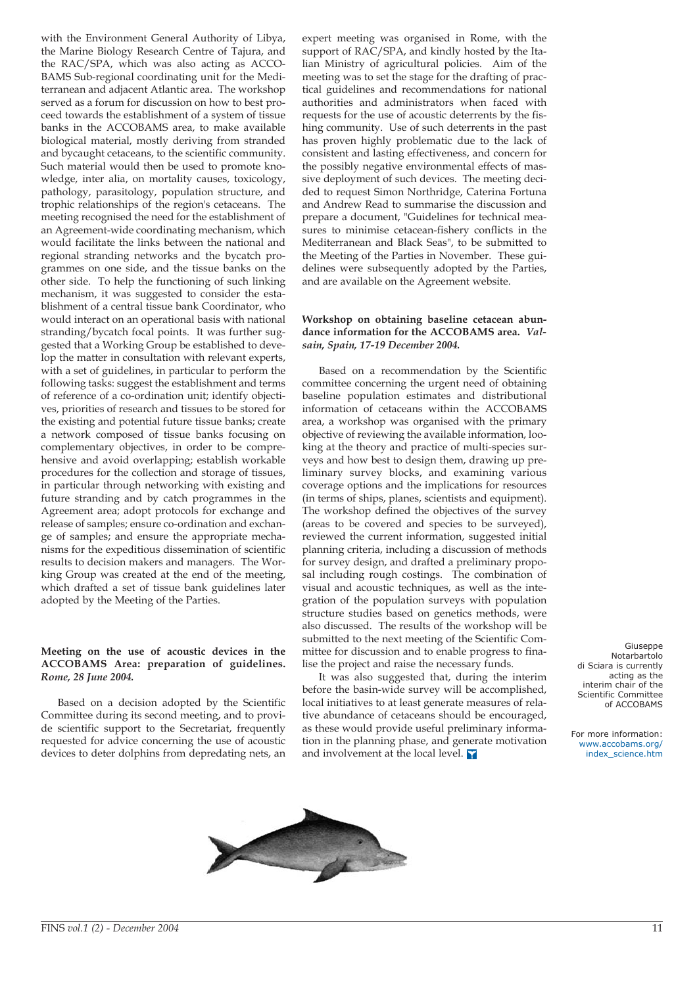with the Environment General Authority of Libya, the Marine Biology Research Centre of Tajura, and the RAC/SPA, which was also acting as ACCO-BAMS Sub-regional coordinating unit for the Mediterranean and adjacent Atlantic area. The workshop served as a forum for discussion on how to best proceed towards the establishment of a system of tissue banks in the ACCOBAMS area, to make available biological material, mostly deriving from stranded and bycaught cetaceans, to the scientific community. Such material would then be used to promote knowledge, inter alia, on mortality causes, toxicology, pathology, parasitology, population structure, and trophic relationships of the region's cetaceans. The meeting recognised the need for the establishment of an Agreement-wide coordinating mechanism, which would facilitate the links between the national and regional stranding networks and the bycatch programmes on one side, and the tissue banks on the other side. To help the functioning of such linking mechanism, it was suggested to consider the establishment of a central tissue bank Coordinator, who would interact on an operational basis with national stranding/bycatch focal points. It was further suggested that a Working Group be established to develop the matter in consultation with relevant experts, with a set of guidelines, in particular to perform the following tasks: suggest the establishment and terms of reference of a co-ordination unit; identify objectives, priorities of research and tissues to be stored for the existing and potential future tissue banks; create a network composed of tissue banks focusing on complementary objectives, in order to be comprehensive and avoid overlapping; establish workable procedures for the collection and storage of tissues, in particular through networking with existing and future stranding and by catch programmes in the Agreement area; adopt protocols for exchange and release of samples; ensure co-ordination and exchange of samples; and ensure the appropriate mechanisms for the expeditious dissemination of scientific results to decision makers and managers. The Working Group was created at the end of the meeting, which drafted a set of tissue bank guidelines later adopted by the Meeting of the Parties.

### **Meeting on the use of acoustic devices in the ACCOBAMS Area: preparation of guidelines.** *Rome, 28 June 2004.*

Based on a decision adopted by the Scientific Committee during its second meeting, and to provide scientific support to the Secretariat, frequently requested for advice concerning the use of acoustic devices to deter dolphins from depredating nets, an expert meeting was organised in Rome, with the support of RAC/SPA, and kindly hosted by the Italian Ministry of agricultural policies. Aim of the meeting was to set the stage for the drafting of practical guidelines and recommendations for national authorities and administrators when faced with requests for the use of acoustic deterrents by the fishing community. Use of such deterrents in the past has proven highly problematic due to the lack of consistent and lasting effectiveness, and concern for the possibly negative environmental effects of massive deployment of such devices. The meeting decided to request Simon Northridge, Caterina Fortuna and Andrew Read to summarise the discussion and prepare a document, "Guidelines for technical measures to minimise cetacean-fishery conflicts in the Mediterranean and Black Seas", to be submitted to the Meeting of the Parties in November. These guidelines were subsequently adopted by the Parties, and are available on the Agreement website.

#### **Workshop on obtaining baseline cetacean abundance information for the ACCOBAMS area.** *Valsain, Spain, 17-19 December 2004.*

Based on a recommendation by the Scientific committee concerning the urgent need of obtaining baseline population estimates and distributional information of cetaceans within the ACCOBAMS area, a workshop was organised with the primary objective of reviewing the available information, looking at the theory and practice of multi-species surveys and how best to design them, drawing up preliminary survey blocks, and examining various coverage options and the implications for resources (in terms of ships, planes, scientists and equipment). The workshop defined the objectives of the survey (areas to be covered and species to be surveyed), reviewed the current information, suggested initial planning criteria, including a discussion of methods for survey design, and drafted a preliminary proposal including rough costings. The combination of visual and acoustic techniques, as well as the integration of the population surveys with population structure studies based on genetics methods, were also discussed. The results of the workshop will be submitted to the next meeting of the Scientific Committee for discussion and to enable progress to finalise the project and raise the necessary funds.

It was also suggested that, during the interim before the basin-wide survey will be accomplished, local initiatives to at least generate measures of relative abundance of cetaceans should be encouraged, as these would provide useful preliminary information in the planning phase, and generate motivation and involvement at the local level.  $\blacksquare$ 

Giuseppe Notarbartolo di Sciara is currently acting as the interim chair of the Scientific Committee of ACCOBAMS

For more information: [www.accobams.org/](http://www.accobams.org/index_science.htm) index\_science.htm

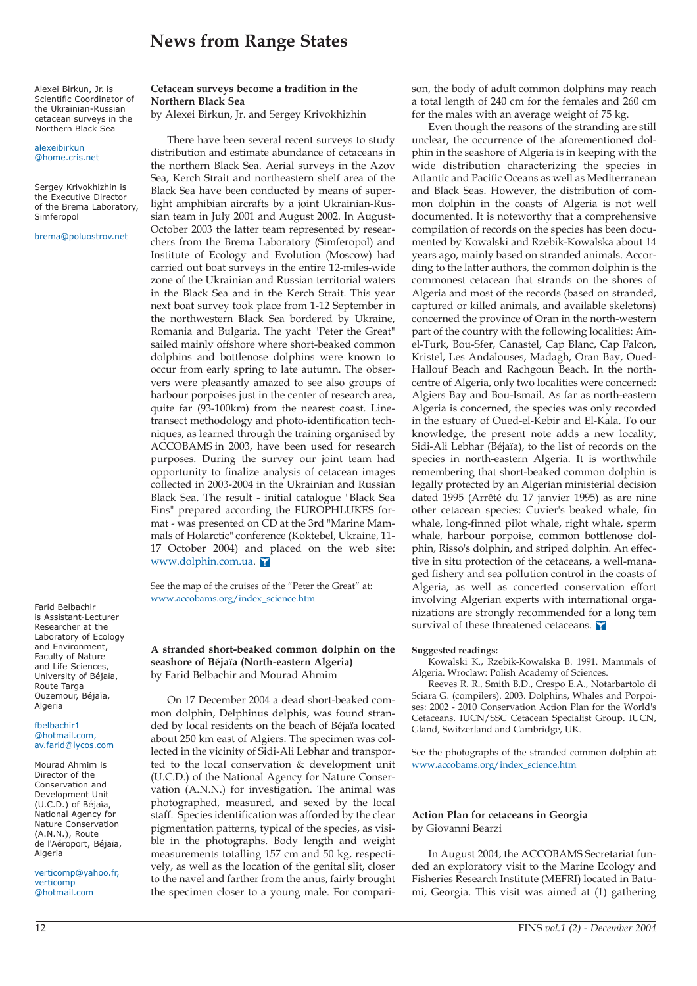### **News from Range States**

Alexei Birkun, Jr. is Scientific Coordinator of the Ukrainian-Russian cetacean surveys in the Northern Black Sea

alexeibirkun @home.cris.net

Sergey Krivokhizhin is the Executive Director of the Brema Laboratory, Simferopol

brema@poluostrov.net

Farid Belbachir is Assistant-Lecturer Researcher at the Laboratory of Ecology and Environment, Faculty of Nature and Life Sciences, University of Béjaïa, Route Targa Ouzemour, Béjaïa, Algeria

#### fbelbachir1 @hotmail.com, av.farid@lycos.com

Mourad Ahmim is Director of the Conservation and Development Unit (U.C.D.) of Béjaïa, National Agency for Nature Conservation (A.N.N.), Route de l'Aéroport, Béjaïa, Algeria

verticomp@yahoo.fr, verticomp @hotmail.com

#### **Cetacean surveys become a tradition in the Northern Black Sea**

by Alexei Birkun, Jr. and Sergey Krivokhizhin

There have been several recent surveys to study distribution and estimate abundance of cetaceans in the northern Black Sea. Aerial surveys in the Azov Sea, Kerch Strait and northeastern shelf area of the Black Sea have been conducted by means of superlight amphibian aircrafts by a joint Ukrainian-Russian team in July 2001 and August 2002. In August-October 2003 the latter team represented by researchers from the Brema Laboratory (Simferopol) and Institute of Ecology and Evolution (Moscow) had carried out boat surveys in the entire 12-miles-wide zone of the Ukrainian and Russian territorial waters in the Black Sea and in the Kerch Strait. This year next boat survey took place from 1-12 September in the northwestern Black Sea bordered by Ukraine, Romania and Bulgaria. The yacht "Peter the Great" sailed mainly offshore where short-beaked common dolphins and bottlenose dolphins were known to occur from early spring to late autumn. The observers were pleasantly amazed to see also groups of harbour porpoises just in the center of research area, quite far (93-100km) from the nearest coast. Linetransect methodology and photo-identification techniques, as learned through the training organised by ACCOBAMS in 2003, have been used for research purposes. During the survey our joint team had opportunity to finalize analysis of cetacean images collected in 2003-2004 in the Ukrainian and Russian Black Sea. The result - initial catalogue "Black Sea Fins" prepared according the EUROPHLUKES format - was presented on CD at the 3rd "Marine Mammals of Holarctic" conference (Koktebel, Ukraine, 11- 17 October 2004) and placed on the web site: [www.dolphin.com.ua.](http://www.dolphin.com.ua) 

See the map of the cruises of the "Peter the Great" at: [www.accobams.org/index\\_science.htm](http://www.accobams.org/index_science.htm)

#### **A stranded short-beaked common dolphin on the seashore of Béjaïa (North-eastern Algeria)** by Farid Belbachir and Mourad Ahmim

On 17 December 2004 a dead short-beaked common dolphin, Delphinus delphis, was found stranded by local residents on the beach of Béjaïa located about 250 km east of Algiers. The specimen was collected in the vicinity of Sidi-Ali Lebhar and transported to the local conservation & development unit (U.C.D.) of the National Agency for Nature Conservation (A.N.N.) for investigation. The animal was photographed, measured, and sexed by the local staff. Species identification was afforded by the clear pigmentation patterns, typical of the species, as visible in the photographs. Body length and weight measurements totalling 157 cm and 50 kg, respectively, as well as the location of the genital slit, closer to the navel and farther from the anus, fairly brought the specimen closer to a young male. For comparison, the body of adult common dolphins may reach a total length of 240 cm for the females and 260 cm for the males with an average weight of 75 kg.

Even though the reasons of the stranding are still unclear, the occurrence of the aforementioned dolphin in the seashore of Algeria is in keeping with the wide distribution characterizing the species in Atlantic and Pacific Oceans as well as Mediterranean and Black Seas. However, the distribution of common dolphin in the coasts of Algeria is not well documented. It is noteworthy that a comprehensive compilation of records on the species has been documented by Kowalski and Rzebik-Kowalska about 14 years ago, mainly based on stranded animals. According to the latter authors, the common dolphin is the commonest cetacean that strands on the shores of Algeria and most of the records (based on stranded, captured or killed animals, and available skeletons) concerned the province of Oran in the north-western part of the country with the following localities: Aïnel-Turk, Bou-Sfer, Canastel, Cap Blanc, Cap Falcon, Kristel, Les Andalouses, Madagh, Oran Bay, Oued-Hallouf Beach and Rachgoun Beach. In the northcentre of Algeria, only two localities were concerned: Algiers Bay and Bou-Ismail. As far as north-eastern Algeria is concerned, the species was only recorded in the estuary of Oued-el-Kebir and El-Kala. To our knowledge, the present note adds a new locality, Sidi-Ali Lebhar (Béjaïa), to the list of records on the species in north-eastern Algeria. It is worthwhile remembering that short-beaked common dolphin is legally protected by an Algerian ministerial decision dated 1995 (Arrêté du 17 janvier 1995) as are nine other cetacean species: Cuvier's beaked whale, fin whale, long-finned pilot whale, right whale, sperm whale, harbour porpoise, common bottlenose dolphin, Risso's dolphin, and striped dolphin. An effective in situ protection of the cetaceans, a well-managed fishery and sea pollution control in the coasts of Algeria, as well as concerted conservation effort involving Algerian experts with international organizations are strongly recommended for a long tem survival of these threatened cetaceans.

#### **Suggested readings:**

Kowalski K., Rzebik-Kowalska B. 1991. Mammals of Algeria. Wroclaw: Polish Academy of Sciences.

Reeves R. R., Smith B.D., Crespo E.A., Notarbartolo di Sciara G. (compilers). 2003. Dolphins, Whales and Porpoises: 2002 - 2010 Conservation Action Plan for the World's Cetaceans. IUCN/SSC Cetacean Specialist Group. IUCN, Gland, Switzerland and Cambridge, UK.

See the photographs of the stranded common dolphin at: [www.accobams.org/index\\_science.htm](http://www.accobams.org/index_science.htm)

#### **Action Plan for cetaceans in Georgia** by Giovanni Bearzi

In August 2004, the ACCOBAMS Secretariat funded an exploratory visit to the Marine Ecology and Fisheries Research Institute (MEFRI) located in Batumi, Georgia. This visit was aimed at (1) gathering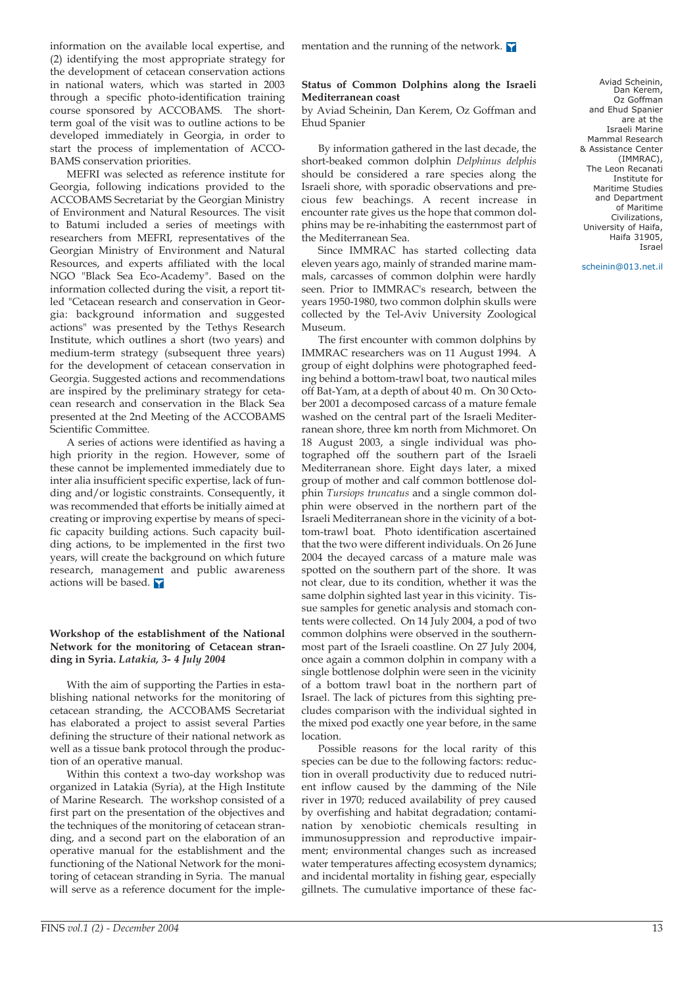information on the available local expertise, and (2) identifying the most appropriate strategy for the development of cetacean conservation actions in national waters, which was started in 2003 through a specific photo-identification training course sponsored by ACCOBAMS. The shortterm goal of the visit was to outline actions to be developed immediately in Georgia, in order to start the process of implementation of ACCO-BAMS conservation priorities.

MEFRI was selected as reference institute for Georgia, following indications provided to the ACCOBAMS Secretariat by the Georgian Ministry of Environment and Natural Resources. The visit to Batumi included a series of meetings with researchers from MEFRI, representatives of the Georgian Ministry of Environment and Natural Resources, and experts affiliated with the local NGO "Black Sea Eco-Academy". Based on the information collected during the visit, a report titled "Cetacean research and conservation in Georgia: background information and suggested actions" was presented by the Tethys Research Institute, which outlines a short (two years) and medium-term strategy (subsequent three years) for the development of cetacean conservation in Georgia. Suggested actions and recommendations are inspired by the preliminary strategy for cetacean research and conservation in the Black Sea presented at the 2nd Meeting of the ACCOBAMS Scientific Committee.

A series of actions were identified as having a high priority in the region. However, some of these cannot be implemented immediately due to inter alia insufficient specific expertise, lack of funding and/or logistic constraints. Consequently, it was recommended that efforts be initially aimed at creating or improving expertise by means of specific capacity building actions. Such capacity building actions, to be implemented in the first two years, will create the background on which future research, management and public awareness actions will be based.

### **Workshop of the establishment of the National Network for the monitoring of Cetacean stranding in Syria.** *Latakia, 3- 4 July 2004*

With the aim of supporting the Parties in establishing national networks for the monitoring of cetacean stranding, the ACCOBAMS Secretariat has elaborated a project to assist several Parties defining the structure of their national network as well as a tissue bank protocol through the production of an operative manual.

Within this context a two-day workshop was organized in Latakia (Syria), at the High Institute of Marine Research. The workshop consisted of a first part on the presentation of the objectives and the techniques of the monitoring of cetacean stranding, and a second part on the elaboration of an operative manual for the establishment and the functioning of the National Network for the monitoring of cetacean stranding in Syria. The manual will serve as a reference document for the imple-

### **Status of Common Dolphins along the Israeli Mediterranean coast**

by Aviad Scheinin, Dan Kerem, Oz Goffman and Ehud Spanier

By information gathered in the last decade, the short-beaked common dolphin *Delphinus delphis* should be considered a rare species along the Israeli shore, with sporadic observations and precious few beachings. A recent increase in encounter rate gives us the hope that common dolphins may be re-inhabiting the easternmost part of the Mediterranean Sea.

Since IMMRAC has started collecting data eleven years ago, mainly of stranded marine mammals, carcasses of common dolphin were hardly seen. Prior to IMMRAC's research, between the years 1950-1980, two common dolphin skulls were collected by the Tel-Aviv University Zoological Museum.

The first encounter with common dolphins by IMMRAC researchers was on 11 August 1994. A group of eight dolphins were photographed feeding behind a bottom-trawl boat, two nautical miles off Bat-Yam, at a depth of about 40 m. On 30 October 2001 a decomposed carcass of a mature female washed on the central part of the Israeli Mediterranean shore, three km north from Michmoret. On 18 August 2003, a single individual was photographed off the southern part of the Israeli Mediterranean shore. Eight days later, a mixed group of mother and calf common bottlenose dolphin *Tursiops truncatus* and a single common dolphin were observed in the northern part of the Israeli Mediterranean shore in the vicinity of a bottom-trawl boat. Photo identification ascertained that the two were different individuals. On 26 June 2004 the decayed carcass of a mature male was spotted on the southern part of the shore. It was not clear, due to its condition, whether it was the same dolphin sighted last year in this vicinity. Tissue samples for genetic analysis and stomach contents were collected. On 14 July 2004, a pod of two common dolphins were observed in the southernmost part of the Israeli coastline. On 27 July 2004, once again a common dolphin in company with a single bottlenose dolphin were seen in the vicinity of a bottom trawl boat in the northern part of Israel. The lack of pictures from this sighting precludes comparison with the individual sighted in the mixed pod exactly one year before, in the same location.

Possible reasons for the local rarity of this species can be due to the following factors: reduction in overall productivity due to reduced nutrient inflow caused by the damming of the Nile river in 1970; reduced availability of prey caused by overfishing and habitat degradation; contamination by xenobiotic chemicals resulting in immunosuppression and reproductive impairment; environmental changes such as increased water temperatures affecting ecosystem dynamics; and incidental mortality in fishing gear, especially gillnets. The cumulative importance of these fac-

Aviad Scheinin, Dan Kerem Oz Goffman and Ehud Spanier are at the Israeli Marine Mammal Research & Assistance Center (IMMRAC), The Leon Recanati Institute for Maritime Studies and Department of Maritime Civilizations, University of Haifa, Haifa 31905, Israel

scheinin@013.net.il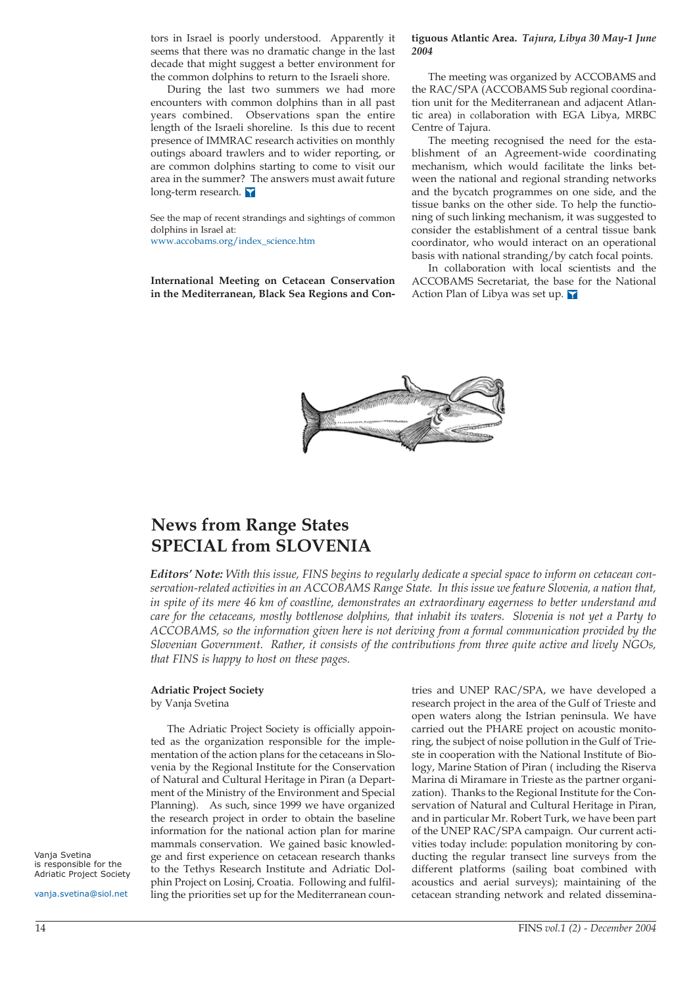tors in Israel is poorly understood. Apparently it seems that there was no dramatic change in the last decade that might suggest a better environment for the common dolphins to return to the Israeli shore.

During the last two summers we had more encounters with common dolphins than in all past years combined. Observations span the entire length of the Israeli shoreline. Is this due to recent presence of IMMRAC research activities on monthly outings aboard trawlers and to wider reporting, or are common dolphins starting to come to visit our area in the summer? The answers must await future long-term research.

See the map of recent strandings and sightings of common dolphins in Israel at: [www.accobams.org/index\\_science.htm](http://www.accobams.org/index_science.htm)

**International Meeting on Cetacean Conservation in the Mediterranean, Black Sea Regions and Con-**

#### **tiguous Atlantic Area.** *Tajura, Libya 30 May-1 June 2004*

The meeting was organized by ACCOBAMS and the RAC/SPA (ACCOBAMS Sub regional coordination unit for the Mediterranean and adjacent Atlantic area) in collaboration with EGA Libya, MRBC Centre of Tajura.

The meeting recognised the need for the establishment of an Agreement-wide coordinating mechanism, which would facilitate the links between the national and regional stranding networks and the bycatch programmes on one side, and the tissue banks on the other side. To help the functioning of such linking mechanism, it was suggested to consider the establishment of a central tissue bank coordinator, who would interact on an operational basis with national stranding/by catch focal points.

In collaboration with local scientists and the ACCOBAMS Secretariat, the base for the National Action Plan of Libya was set up.



# **News from Range States SPECIAL from SLOVENIA**

*Editors' Note: With this issue, FINS begins to regularly dedicate a special space to inform on cetacean conservation-related activities in an ACCOBAMS Range State. In this issue we feature Slovenia, a nation that, in spite of its mere 46 km of coastline, demonstrates an extraordinary eagerness to better understand and care for the cetaceans, mostly bottlenose dolphins, that inhabit its waters. Slovenia is not yet a Party to ACCOBAMS, so the information given here is not deriving from a formal communication provided by the Slovenian Government. Rather, it consists of the contributions from three quite active and lively NGOs, that FINS is happy to host on these pages.*

#### **Adriatic Project Society**

by Vanja Svetina

The Adriatic Project Society is officially appointed as the organization responsible for the implementation of the action plans for the cetaceans in Slovenia by the Regional Institute for the Conservation of Natural and Cultural Heritage in Piran (a Department of the Ministry of the Environment and Special Planning). As such, since 1999 we have organized the research project in order to obtain the baseline information for the national action plan for marine mammals conservation. We gained basic knowledge and first experience on cetacean research thanks to the Tethys Research Institute and Adriatic Dolphin Project on Losinj, Croatia. Following and fulfilling the priorities set up for the Mediterranean countries and UNEP RAC/SPA, we have developed a research project in the area of the Gulf of Trieste and open waters along the Istrian peninsula. We have carried out the PHARE project on acoustic monitoring, the subject of noise pollution in the Gulf of Trieste in cooperation with the National Institute of Biology, Marine Station of Piran ( including the Riserva Marina di Miramare in Trieste as the partner organization). Thanks to the Regional Institute for the Conservation of Natural and Cultural Heritage in Piran, and in particular Mr. Robert Turk, we have been part of the UNEP RAC/SPA campaign. Our current activities today include: population monitoring by conducting the regular transect line surveys from the different platforms (sailing boat combined with acoustics and aerial surveys); maintaining of the cetacean stranding network and related dissemina-

Vanja Svetina is responsible for the Adriatic Project Society

vanja.svetina@siol.net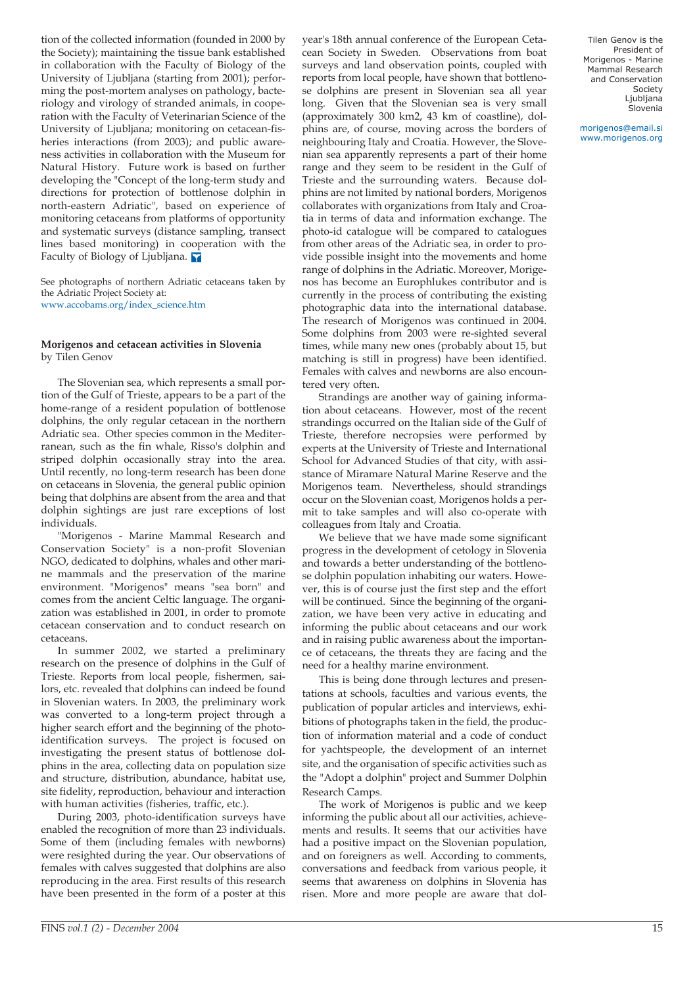tion of the collected information (founded in 2000 by the Society); maintaining the tissue bank established in collaboration with the Faculty of Biology of the University of Ljubljana (starting from 2001); performing the post-mortem analyses on pathology, bacteriology and virology of stranded animals, in cooperation with the Faculty of Veterinarian Science of the University of Ljubljana; monitoring on cetacean-fisheries interactions (from 2003); and public awareness activities in collaboration with the Museum for Natural History. Future work is based on further developing the "Concept of the long-term study and directions for protection of bottlenose dolphin in north-eastern Adriatic", based on experience of monitoring cetaceans from platforms of opportunity and systematic surveys (distance sampling, transect lines based monitoring) in cooperation with the Faculty of Biology of Ljubljana.

See photographs of northern Adriatic cetaceans taken by the Adriatic Project Society at: [www.accobams.org/index\\_science.htm](http://www.accobams.org/index_science.htm) 

#### **Morigenos and cetacean activities in Slovenia** by Tilen Genov

The Slovenian sea, which represents a small portion of the Gulf of Trieste, appears to be a part of the home-range of a resident population of bottlenose dolphins, the only regular cetacean in the northern Adriatic sea. Other species common in the Mediterranean, such as the fin whale, Risso's dolphin and striped dolphin occasionally stray into the area. Until recently, no long-term research has been done on cetaceans in Slovenia, the general public opinion being that dolphins are absent from the area and that dolphin sightings are just rare exceptions of lost individuals.

"Morigenos - Marine Mammal Research and Conservation Society" is a non-profit Slovenian NGO, dedicated to dolphins, whales and other marine mammals and the preservation of the marine environment. "Morigenos" means "sea born" and comes from the ancient Celtic language. The organization was established in 2001, in order to promote cetacean conservation and to conduct research on cetaceans.

In summer 2002, we started a preliminary research on the presence of dolphins in the Gulf of Trieste. Reports from local people, fishermen, sailors, etc. revealed that dolphins can indeed be found in Slovenian waters. In 2003, the preliminary work was converted to a long-term project through a higher search effort and the beginning of the photoidentification surveys. The project is focused on investigating the present status of bottlenose dolphins in the area, collecting data on population size and structure, distribution, abundance, habitat use, site fidelity, reproduction, behaviour and interaction with human activities (fisheries, traffic, etc.).

During 2003, photo-identification surveys have enabled the recognition of more than 23 individuals. Some of them (including females with newborns) were resighted during the year. Our observations of females with calves suggested that dolphins are also reproducing in the area. First results of this research have been presented in the form of a poster at this

year's 18th annual conference of the European Cetacean Society in Sweden. Observations from boat surveys and land observation points, coupled with reports from local people, have shown that bottlenose dolphins are present in Slovenian sea all year long. Given that the Slovenian sea is very small (approximately 300 km2, 43 km of coastline), dolphins are, of course, moving across the borders of neighbouring Italy and Croatia. However, the Slovenian sea apparently represents a part of their home range and they seem to be resident in the Gulf of Trieste and the surrounding waters. Because dolphins are not limited by national borders, Morigenos collaborates with organizations from Italy and Croatia in terms of data and information exchange. The photo-id catalogue will be compared to catalogues from other areas of the Adriatic sea, in order to provide possible insight into the movements and home range of dolphins in the Adriatic. Moreover, Morigenos has become an Europhlukes contributor and is currently in the process of contributing the existing photographic data into the international database. The research of Morigenos was continued in 2004. Some dolphins from 2003 were re-sighted several times, while many new ones (probably about 15, but matching is still in progress) have been identified. Females with calves and newborns are also encountered very often.

Strandings are another way of gaining information about cetaceans. However, most of the recent strandings occurred on the Italian side of the Gulf of Trieste, therefore necropsies were performed by experts at the University of Trieste and International School for Advanced Studies of that city, with assistance of Miramare Natural Marine Reserve and the Morigenos team. Nevertheless, should strandings occur on the Slovenian coast, Morigenos holds a permit to take samples and will also co-operate with colleagues from Italy and Croatia.

We believe that we have made some significant progress in the development of cetology in Slovenia and towards a better understanding of the bottlenose dolphin population inhabiting our waters. However, this is of course just the first step and the effort will be continued. Since the beginning of the organization, we have been very active in educating and informing the public about cetaceans and our work and in raising public awareness about the importance of cetaceans, the threats they are facing and the need for a healthy marine environment.

This is being done through lectures and presentations at schools, faculties and various events, the publication of popular articles and interviews, exhibitions of photographs taken in the field, the production of information material and a code of conduct for yachtspeople, the development of an internet site, and the organisation of specific activities such as the "Adopt a dolphin" project and Summer Dolphin Research Camps.

The work of Morigenos is public and we keep informing the public about all our activities, achievements and results. It seems that our activities have had a positive impact on the Slovenian population, and on foreigners as well. According to comments, conversations and feedback from various people, it seems that awareness on dolphins in Slovenia has risen. More and more people are aware that dol-

Tilen Genov is the President of Morigenos - Marine Mammal Research and Conservation Society Ljubljana Slovenia

morigenos@email.si [www.morigenos.org](http://www.morigenos.org)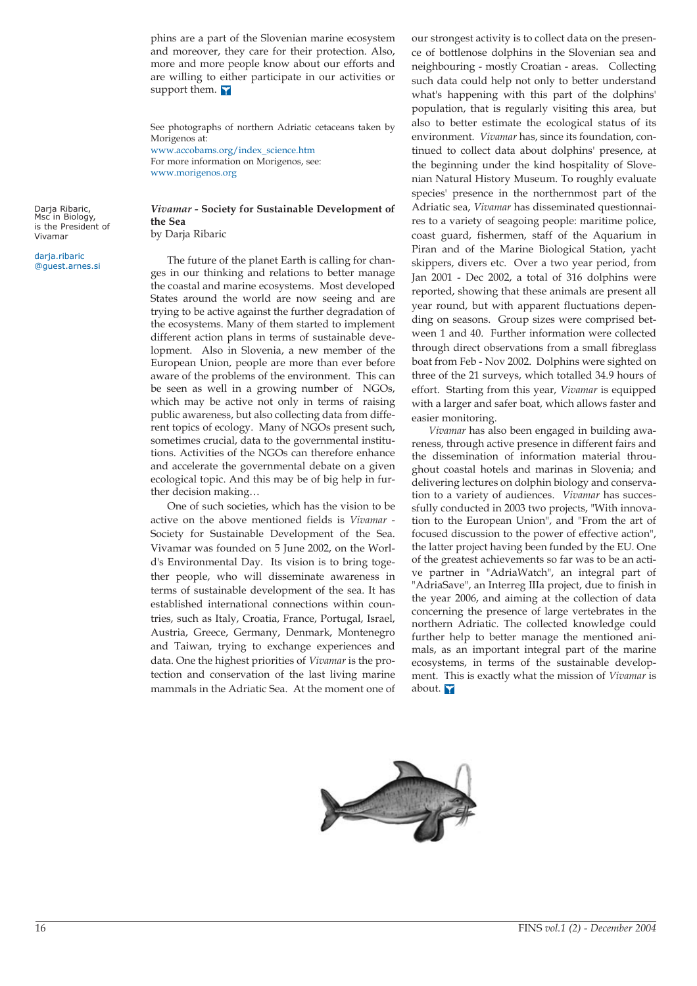phins are a part of the Slovenian marine ecosystem and moreover, they care for their protection. Also, more and more people know about our efforts and are willing to either participate in our activities or support them.

See photographs of northern Adriatic cetaceans taken by Morigenos at: [www.accobams.org/index\\_science.htm](http://www.accobams.org/index_science.htm)  For more information on Morigenos, see:

[www.morigenos.org](http://www.morigenos.org)

Darja Ribaric,<br>Msc in Biology, is the President of Vivamar

darja.ribaric @guest.arnes.si

*Vivamar* **- Society for Sustainable Development of the Sea** by Darja Ribaric

The future of the planet Earth is calling for changes in our thinking and relations to better manage the coastal and marine ecosystems. Most developed States around the world are now seeing and are trying to be active against the further degradation of the ecosystems. Many of them started to implement different action plans in terms of sustainable development. Also in Slovenia, a new member of the European Union, people are more than ever before aware of the problems of the environment. This can be seen as well in a growing number of NGOs, which may be active not only in terms of raising public awareness, but also collecting data from different topics of ecology. Many of NGOs present such, sometimes crucial, data to the governmental institutions. Activities of the NGOs can therefore enhance and accelerate the governmental debate on a given ecological topic. And this may be of big help in further decision making…

One of such societies, which has the vision to be active on the above mentioned fields is *Vivamar* - Society for Sustainable Development of the Sea. Vivamar was founded on 5 June 2002, on the World's Environmental Day. Its vision is to bring together people, who will disseminate awareness in terms of sustainable development of the sea. It has established international connections within countries, such as Italy, Croatia, France, Portugal, Israel, Austria, Greece, Germany, Denmark, Montenegro and Taiwan, trying to exchange experiences and data. One the highest priorities of *Vivamar* is the protection and conservation of the last living marine mammals in the Adriatic Sea. At the moment one of our strongest activity is to collect data on the presence of bottlenose dolphins in the Slovenian sea and neighbouring - mostly Croatian - areas. Collecting such data could help not only to better understand what's happening with this part of the dolphins' population, that is regularly visiting this area, but also to better estimate the ecological status of its environment. *Vivamar* has, since its foundation, continued to collect data about dolphins' presence, at the beginning under the kind hospitality of Slovenian Natural History Museum. To roughly evaluate species' presence in the northernmost part of the Adriatic sea, *Vivamar* has disseminated questionnaires to a variety of seagoing people: maritime police, coast guard, fishermen, staff of the Aquarium in Piran and of the Marine Biological Station, yacht skippers, divers etc. Over a two year period, from Jan 2001 - Dec 2002, a total of 316 dolphins were reported, showing that these animals are present all year round, but with apparent fluctuations depending on seasons. Group sizes were comprised between 1 and 40. Further information were collected through direct observations from a small fibreglass boat from Feb - Nov 2002. Dolphins were sighted on three of the 21 surveys, which totalled 34.9 hours of effort. Starting from this year, *Vivamar* is equipped with a larger and safer boat, which allows faster and easier monitoring.

*Vivamar* has also been engaged in building awareness, through active presence in different fairs and the dissemination of information material throughout coastal hotels and marinas in Slovenia; and delivering lectures on dolphin biology and conservation to a variety of audiences. *Vivamar* has successfully conducted in 2003 two projects, "With innovation to the European Union", and "From the art of focused discussion to the power of effective action", the latter project having been funded by the EU. One of the greatest achievements so far was to be an active partner in "AdriaWatch", an integral part of "AdriaSave", an Interreg IIIa project, due to finish in the year 2006, and aiming at the collection of data concerning the presence of large vertebrates in the northern Adriatic. The collected knowledge could further help to better manage the mentioned animals, as an important integral part of the marine ecosystems, in terms of the sustainable development. This is exactly what the mission of *Vivamar* is about.

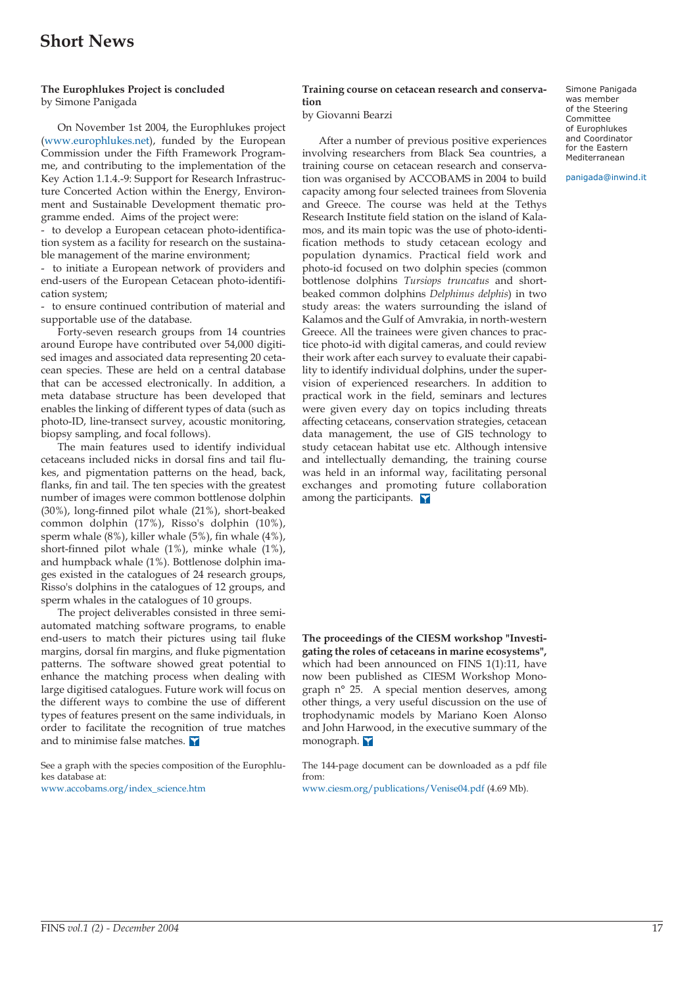# **Short News**

#### **The Europhlukes Project is concluded** by Simone Panigada

On November 1st 2004, the Europhlukes project [\(www.europhlukes.net\),](http://www.europhlukes.net) funded by the European Commission under the Fifth Framework Programme, and contributing to the implementation of the Key Action 1.1.4.-9: Support for Research Infrastructure Concerted Action within the Energy, Environment and Sustainable Development thematic programme ended. Aims of the project were:

- to develop a European cetacean photo-identification system as a facility for research on the sustainable management of the marine environment;

- to initiate a European network of providers and end-users of the European Cetacean photo-identification system;

- to ensure continued contribution of material and supportable use of the database.

Forty-seven research groups from 14 countries around Europe have contributed over 54,000 digitised images and associated data representing 20 cetacean species. These are held on a central database that can be accessed electronically. In addition, a meta database structure has been developed that enables the linking of different types of data (such as photo-ID, line-transect survey, acoustic monitoring, biopsy sampling, and focal follows).

The main features used to identify individual cetaceans included nicks in dorsal fins and tail flukes, and pigmentation patterns on the head, back, flanks, fin and tail. The ten species with the greatest number of images were common bottlenose dolphin (30%), long-finned pilot whale (21%), short-beaked common dolphin (17%), Risso's dolphin (10%), sperm whale (8%), killer whale (5%), fin whale (4%), short-finned pilot whale (1%), minke whale (1%), and humpback whale (1%). Bottlenose dolphin images existed in the catalogues of 24 research groups, Risso's dolphins in the catalogues of 12 groups, and sperm whales in the catalogues of 10 groups.

The project deliverables consisted in three semiautomated matching software programs, to enable end-users to match their pictures using tail fluke margins, dorsal fin margins, and fluke pigmentation patterns. The software showed great potential to enhance the matching process when dealing with large digitised catalogues. Future work will focus on the different ways to combine the use of different types of features present on the same individuals, in order to facilitate the recognition of true matches and to minimise false matches.

See a graph with the species composition of the Europhlukes database at:

[www.accobams.org/index\\_science.htm](http://www.accobams.org/index_science.htm)

#### **Training course on cetacean research and conservation**

by Giovanni Bearzi

After a number of previous positive experiences involving researchers from Black Sea countries, a training course on cetacean research and conservation was organised by ACCOBAMS in 2004 to build capacity among four selected trainees from Slovenia and Greece. The course was held at the Tethys Research Institute field station on the island of Kalamos, and its main topic was the use of photo-identification methods to study cetacean ecology and population dynamics. Practical field work and photo-id focused on two dolphin species (common bottlenose dolphins *Tursiops truncatus* and shortbeaked common dolphins *Delphinus delphis*) in two study areas: the waters surrounding the island of Kalamos and the Gulf of Amvrakia, in north-western Greece. All the trainees were given chances to practice photo-id with digital cameras, and could review their work after each survey to evaluate their capability to identify individual dolphins, under the supervision of experienced researchers. In addition to practical work in the field, seminars and lectures were given every day on topics including threats affecting cetaceans, conservation strategies, cetacean data management, the use of GIS technology to study cetacean habitat use etc. Although intensive and intellectually demanding, the training course was held in an informal way, facilitating personal exchanges and promoting future collaboration among the participants.

**The proceedings of the CIESM workshop "Investigating the roles of cetaceans in marine ecosystems",** which had been announced on FINS 1(1):11, have now been published as CIESM Workshop Monograph n° 25. A special mention deserves, among other things, a very useful discussion on the use of trophodynamic models by Mariano Koen Alonso and John Harwood, in the executive summary of the monograph.

The 144-page document can be downloaded as a pdf file from:

[www.ciesm.org/publications/Venise04.pdf \(4.69 Mb\).](www.ciesm.org/publications/Venise04.pdf) 

Simone Panigada was member of the Steering Committee of Europhlukes and Coordinator for the Eastern Mediterranean

panigada@inwind.it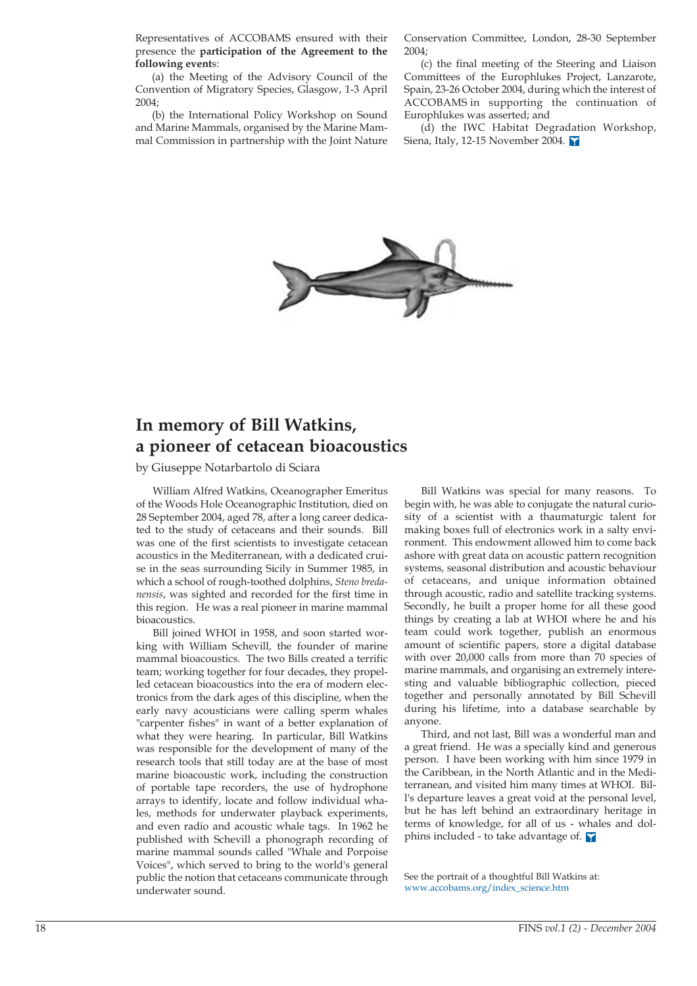Representatives of ACCOBAMS ensured with their presence the **participation of the Agreement to the following event**s:

(a) the Meeting of the Advisory Council of the Convention of Migratory Species, Glasgow, 1-3 April 2004;

(b) the International Policy Workshop on Sound and Marine Mammals, organised by the Marine Mammal Commission in partnership with the Joint Nature Conservation Committee, London, 28-30 September 2004;

(c) the final meeting of the Steering and Liaison Committees of the Europhlukes Project, Lanzarote, Spain, 23-26 October 2004, during which the interest of ACCOBAMS in supporting the continuation of Europhlukes was asserted; and

(d) the IWC Habitat Degradation Workshop, Siena, Italy, 12-15 November 2004.



# **In memory of Bill Watkins, a pioneer of cetacean bioacoustics**

by Giuseppe Notarbartolo di Sciara

William Alfred Watkins, Oceanographer Emeritus of the Woods Hole Oceanographic Institution, died on 28 September 2004, aged 78, after a long career dedicated to the study of cetaceans and their sounds. Bill was one of the first scientists to investigate cetacean acoustics in the Mediterranean, with a dedicated cruise in the seas surrounding Sicily in Summer 1985, in which a school of rough-toothed dolphins, *Steno bredanensis*, was sighted and recorded for the first time in this region. He was a real pioneer in marine mammal bioacoustics.

Bill joined WHOI in 1958, and soon started working with William Schevill, the founder of marine mammal bioacoustics. The two Bills created a terrific team; working together for four decades, they propelled cetacean bioacoustics into the era of modern electronics from the dark ages of this discipline, when the early navy acousticians were calling sperm whales "carpenter fishes" in want of a better explanation of what they were hearing. In particular, Bill Watkins was responsible for the development of many of the research tools that still today are at the base of most marine bioacoustic work, including the construction of portable tape recorders, the use of hydrophone arrays to identify, locate and follow individual whales, methods for underwater playback experiments, and even radio and acoustic whale tags. In 1962 he published with Schevill a phonograph recording of marine mammal sounds called "Whale and Porpoise Voices", which served to bring to the world's general public the notion that cetaceans communicate through underwater sound.

Bill Watkins was special for many reasons. To begin with, he was able to conjugate the natural curiosity of a scientist with a thaumaturgic talent for making boxes full of electronics work in a salty environment. This endowment allowed him to come back ashore with great data on acoustic pattern recognition systems, seasonal distribution and acoustic behaviour of cetaceans, and unique information obtained through acoustic, radio and satellite tracking systems. Secondly, he built a proper home for all these good things by creating a lab at WHOI where he and his team could work together, publish an enormous amount of scientific papers, store a digital database with over 20,000 calls from more than 70 species of marine mammals, and organising an extremely interesting and valuable bibliographic collection, pieced together and personally annotated by Bill Schevill during his lifetime, into a database searchable by anyone.

Third, and not last, Bill was a wonderful man and a great friend. He was a specially kind and generous person. I have been working with him since 1979 in the Caribbean, in the North Atlantic and in the Mediterranean, and visited him many times at WHOI. Bill's departure leaves a great void at the personal level, but he has left behind an extraordinary heritage in terms of knowledge, for all of us - whales and dolphins included - to take advantage of.  $\mathbf \bar{v}$ 

See the portrait of a thoughtful Bill Watkins at: [www.accobams.org/index\\_science.htm](http://www.accobams.org/index_science.htm)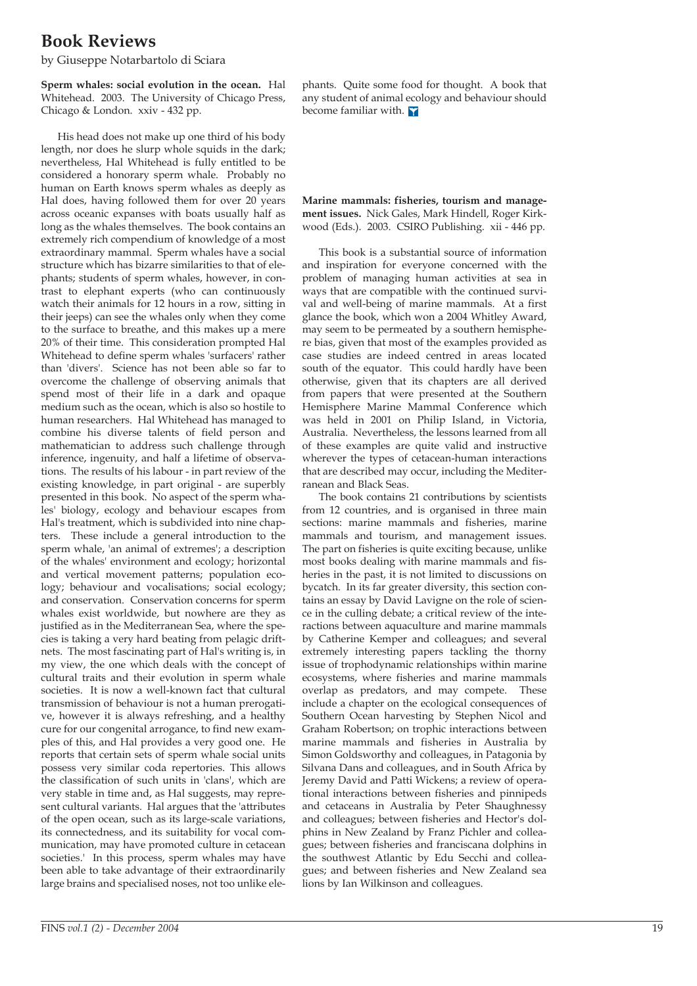# **Book Reviews**

by Giuseppe Notarbartolo di Sciara

**Sperm whales: social evolution in the ocean.** Hal Whitehead. 2003. The University of Chicago Press, Chicago & London. xxiv - 432 pp.

His head does not make up one third of his body length, nor does he slurp whole squids in the dark; nevertheless, Hal Whitehead is fully entitled to be considered a honorary sperm whale. Probably no human on Earth knows sperm whales as deeply as Hal does, having followed them for over 20 years across oceanic expanses with boats usually half as long as the whales themselves. The book contains an extremely rich compendium of knowledge of a most extraordinary mammal. Sperm whales have a social structure which has bizarre similarities to that of elephants; students of sperm whales, however, in contrast to elephant experts (who can continuously watch their animals for 12 hours in a row, sitting in their jeeps) can see the whales only when they come to the surface to breathe, and this makes up a mere 20% of their time. This consideration prompted Hal Whitehead to define sperm whales 'surfacers' rather than 'divers'. Science has not been able so far to overcome the challenge of observing animals that spend most of their life in a dark and opaque medium such as the ocean, which is also so hostile to human researchers. Hal Whitehead has managed to combine his diverse talents of field person and mathematician to address such challenge through inference, ingenuity, and half a lifetime of observations. The results of his labour - in part review of the existing knowledge, in part original - are superbly presented in this book. No aspect of the sperm whales' biology, ecology and behaviour escapes from Hal's treatment, which is subdivided into nine chapters. These include a general introduction to the sperm whale, 'an animal of extremes'; a description of the whales' environment and ecology; horizontal and vertical movement patterns; population ecology; behaviour and vocalisations; social ecology; and conservation. Conservation concerns for sperm whales exist worldwide, but nowhere are they as justified as in the Mediterranean Sea, where the species is taking a very hard beating from pelagic driftnets. The most fascinating part of Hal's writing is, in my view, the one which deals with the concept of cultural traits and their evolution in sperm whale societies. It is now a well-known fact that cultural transmission of behaviour is not a human prerogative, however it is always refreshing, and a healthy cure for our congenital arrogance, to find new examples of this, and Hal provides a very good one. He reports that certain sets of sperm whale social units possess very similar coda repertories. This allows the classification of such units in 'clans', which are very stable in time and, as Hal suggests, may represent cultural variants. Hal argues that the 'attributes of the open ocean, such as its large-scale variations, its connectedness, and its suitability for vocal communication, may have promoted culture in cetacean societies.' In this process, sperm whales may have been able to take advantage of their extraordinarily large brains and specialised noses, not too unlike elephants. Quite some food for thought. A book that any student of animal ecology and behaviour should become familiar with.

**Marine mammals: fisheries, tourism and management issues.** Nick Gales, Mark Hindell, Roger Kirkwood (Eds.). 2003. CSIRO Publishing. xii - 446 pp.

This book is a substantial source of information and inspiration for everyone concerned with the problem of managing human activities at sea in ways that are compatible with the continued survival and well-being of marine mammals. At a first glance the book, which won a 2004 Whitley Award, may seem to be permeated by a southern hemisphere bias, given that most of the examples provided as case studies are indeed centred in areas located south of the equator. This could hardly have been otherwise, given that its chapters are all derived from papers that were presented at the Southern Hemisphere Marine Mammal Conference which was held in 2001 on Philip Island, in Victoria, Australia. Nevertheless, the lessons learned from all of these examples are quite valid and instructive wherever the types of cetacean-human interactions that are described may occur, including the Mediterranean and Black Seas.

The book contains 21 contributions by scientists from 12 countries, and is organised in three main sections: marine mammals and fisheries, marine mammals and tourism, and management issues. The part on fisheries is quite exciting because, unlike most books dealing with marine mammals and fisheries in the past, it is not limited to discussions on bycatch. In its far greater diversity, this section contains an essay by David Lavigne on the role of science in the culling debate; a critical review of the interactions between aquaculture and marine mammals by Catherine Kemper and colleagues; and several extremely interesting papers tackling the thorny issue of trophodynamic relationships within marine ecosystems, where fisheries and marine mammals overlap as predators, and may compete. These include a chapter on the ecological consequences of Southern Ocean harvesting by Stephen Nicol and Graham Robertson; on trophic interactions between marine mammals and fisheries in Australia by Simon Goldsworthy and colleagues, in Patagonia by Silvana Dans and colleagues, and in South Africa by Jeremy David and Patti Wickens; a review of operational interactions between fisheries and pinnipeds and cetaceans in Australia by Peter Shaughnessy and colleagues; between fisheries and Hector's dolphins in New Zealand by Franz Pichler and colleagues; between fisheries and franciscana dolphins in the southwest Atlantic by Edu Secchi and colleagues; and between fisheries and New Zealand sea lions by Ian Wilkinson and colleagues.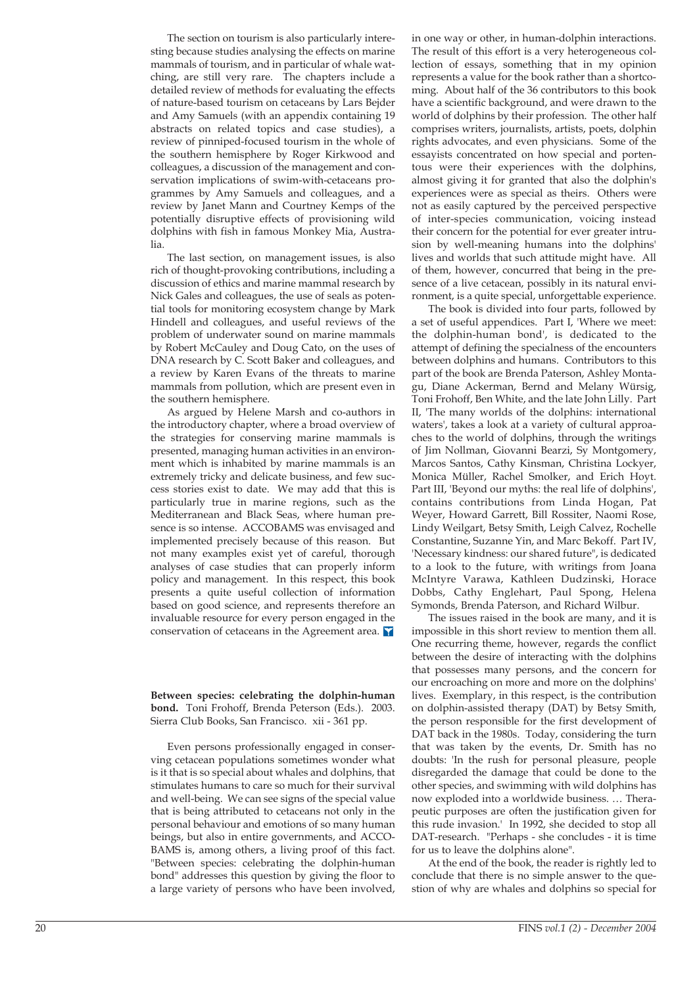The section on tourism is also particularly interesting because studies analysing the effects on marine mammals of tourism, and in particular of whale watching, are still very rare. The chapters include a detailed review of methods for evaluating the effects of nature-based tourism on cetaceans by Lars Bejder and Amy Samuels (with an appendix containing 19 abstracts on related topics and case studies), a review of pinniped-focused tourism in the whole of the southern hemisphere by Roger Kirkwood and colleagues, a discussion of the management and conservation implications of swim-with-cetaceans programmes by Amy Samuels and colleagues, and a review by Janet Mann and Courtney Kemps of the potentially disruptive effects of provisioning wild dolphins with fish in famous Monkey Mia, Australia.

The last section, on management issues, is also rich of thought-provoking contributions, including a discussion of ethics and marine mammal research by Nick Gales and colleagues, the use of seals as potential tools for monitoring ecosystem change by Mark Hindell and colleagues, and useful reviews of the problem of underwater sound on marine mammals by Robert McCauley and Doug Cato, on the uses of DNA research by C. Scott Baker and colleagues, and a review by Karen Evans of the threats to marine mammals from pollution, which are present even in the southern hemisphere.

As argued by Helene Marsh and co-authors in the introductory chapter, where a broad overview of the strategies for conserving marine mammals is presented, managing human activities in an environment which is inhabited by marine mammals is an extremely tricky and delicate business, and few success stories exist to date. We may add that this is particularly true in marine regions, such as the Mediterranean and Black Seas, where human presence is so intense. ACCOBAMS was envisaged and implemented precisely because of this reason. But not many examples exist yet of careful, thorough analyses of case studies that can properly inform policy and management. In this respect, this book presents a quite useful collection of information based on good science, and represents therefore an invaluable resource for every person engaged in the conservation of cetaceans in the Agreement area.  $\blacksquare$ 

**Between species: celebrating the dolphin-human bond.** Toni Frohoff, Brenda Peterson (Eds.). 2003. Sierra Club Books, San Francisco. xii - 361 pp.

Even persons professionally engaged in conserving cetacean populations sometimes wonder what is it that is so special about whales and dolphins, that stimulates humans to care so much for their survival and well-being. We can see signs of the special value that is being attributed to cetaceans not only in the personal behaviour and emotions of so many human beings, but also in entire governments, and ACCO-BAMS is, among others, a living proof of this fact. "Between species: celebrating the dolphin-human bond" addresses this question by giving the floor to a large variety of persons who have been involved, in one way or other, in human-dolphin interactions. The result of this effort is a very heterogeneous collection of essays, something that in my opinion represents a value for the book rather than a shortcoming. About half of the 36 contributors to this book have a scientific background, and were drawn to the world of dolphins by their profession. The other half comprises writers, journalists, artists, poets, dolphin rights advocates, and even physicians. Some of the essayists concentrated on how special and portentous were their experiences with the dolphins, almost giving it for granted that also the dolphin's experiences were as special as theirs. Others were not as easily captured by the perceived perspective of inter-species communication, voicing instead their concern for the potential for ever greater intrusion by well-meaning humans into the dolphins' lives and worlds that such attitude might have. All of them, however, concurred that being in the presence of a live cetacean, possibly in its natural environment, is a quite special, unforgettable experience.

The book is divided into four parts, followed by a set of useful appendices. Part I, 'Where we meet: the dolphin-human bond', is dedicated to the attempt of defining the specialness of the encounters between dolphins and humans. Contributors to this part of the book are Brenda Paterson, Ashley Montagu, Diane Ackerman, Bernd and Melany Würsig, Toni Frohoff, Ben White, and the late John Lilly. Part II, 'The many worlds of the dolphins: international waters', takes a look at a variety of cultural approaches to the world of dolphins, through the writings of Jim Nollman, Giovanni Bearzi, Sy Montgomery, Marcos Santos, Cathy Kinsman, Christina Lockyer, Monica Müller, Rachel Smolker, and Erich Hoyt. Part III, 'Beyond our myths: the real life of dolphins', contains contributions from Linda Hogan, Pat Weyer, Howard Garrett, Bill Rossiter, Naomi Rose, Lindy Weilgart, Betsy Smith, Leigh Calvez, Rochelle Constantine, Suzanne Yin, and Marc Bekoff. Part IV, 'Necessary kindness: our shared future", is dedicated to a look to the future, with writings from Joana McIntyre Varawa, Kathleen Dudzinski, Horace Dobbs, Cathy Englehart, Paul Spong, Helena Symonds, Brenda Paterson, and Richard Wilbur.

The issues raised in the book are many, and it is impossible in this short review to mention them all. One recurring theme, however, regards the conflict between the desire of interacting with the dolphins that possesses many persons, and the concern for our encroaching on more and more on the dolphins' lives. Exemplary, in this respect, is the contribution on dolphin-assisted therapy (DAT) by Betsy Smith, the person responsible for the first development of DAT back in the 1980s. Today, considering the turn that was taken by the events, Dr. Smith has no doubts: 'In the rush for personal pleasure, people disregarded the damage that could be done to the other species, and swimming with wild dolphins has now exploded into a worldwide business. … Therapeutic purposes are often the justification given for this rude invasion.' In 1992, she decided to stop all DAT-research. "Perhaps - she concludes - it is time for us to leave the dolphins alone".

At the end of the book, the reader is rightly led to conclude that there is no simple answer to the question of why are whales and dolphins so special for